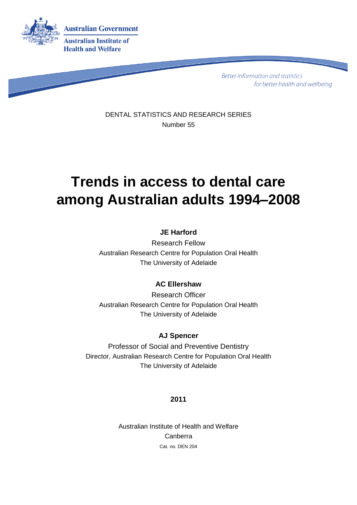

**Better information and statistics** for better health and wellbeing

DENTAL STATISTICS AND RESEARCH SERIES Number 55

# **Trends in access to dental care among Australian adults 1994–2008**

## **JE Harford**

Research Fellow Australian Research Centre for Population Oral Health The University of Adelaide

## **AC Ellershaw**

Research Officer Australian Research Centre for Population Oral Health The University of Adelaide

## **AJ Spencer**

Professor of Social and Preventive Dentistry Director, Australian Research Centre for Population Oral Health The University of Adelaide

### **2011**

Australian Institute of Health and Welfare Canberra Cat. no. DEN 204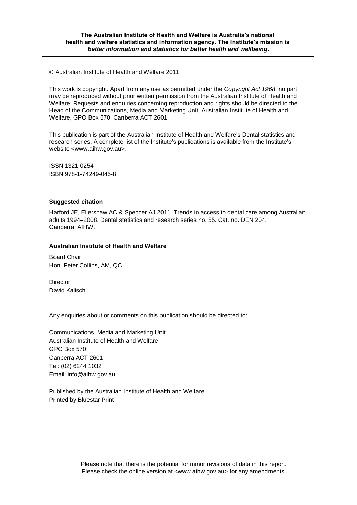#### **The Australian Institute of Health and Welfare is Australia's national health and welfare statistics and information agency. The Institute's mission is** *better information and statistics for better health and wellbeing***.**

© Australian Institute of Health and Welfare 2011

This work is copyright. Apart from any use as permitted under the *Copyright Act 1968*, no part may be reproduced without prior written permission from the Australian Institute of Health and Welfare. Requests and enquiries concerning reproduction and rights should be directed to the Head of the Communications, Media and Marketing Unit, Australian Institute of Health and Welfare, GPO Box 570, Canberra ACT 2601.

This publication is part of the Australian Institute of Health and Welfare's Dental statistics and research series. A complete list of the Institute's publications is available from the Institute's website <www.aihw.gov.au>.

ISSN 1321-0254 ISBN 978-1-74249-045-8

#### **Suggested citation**

Harford JE, Ellershaw AC & Spencer AJ 2011. Trends in access to dental care among Australian adults 1994–2008. Dental statistics and research series no. 55. Cat. no. DEN 204. Canberra: AIHW.

#### **Australian Institute of Health and Welfare**

Board Chair Hon. Peter Collins, AM, QC

**Director** David Kalisch

Any enquiries about or comments on this publication should be directed to:

Communications, Media and Marketing Unit Australian Institute of Health and Welfare GPO Box 570 Canberra ACT 2601 Tel: (02) 6244 1032 Email: info@aihw.gov.au

Published by the Australian Institute of Health and Welfare Printed by Bluestar Print

> Please note that there is the potential for minor revisions of data in this report. Please check the online version at <www.aihw.gov.au> for any amendments.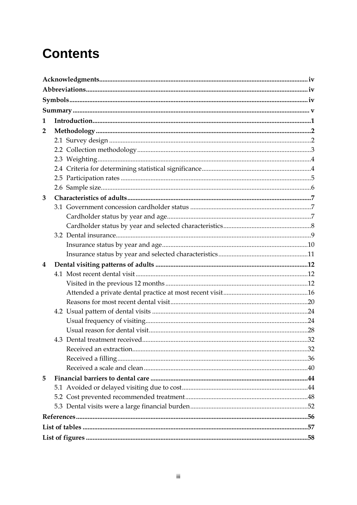# **Contents**

| 1              |  |
|----------------|--|
| $\overline{2}$ |  |
|                |  |
|                |  |
|                |  |
|                |  |
|                |  |
|                |  |
| 3              |  |
|                |  |
|                |  |
|                |  |
|                |  |
|                |  |
|                |  |
|                |  |
| 4              |  |
|                |  |
|                |  |
|                |  |
|                |  |
|                |  |
|                |  |
|                |  |
|                |  |
|                |  |
|                |  |
|                |  |
| 5              |  |
|                |  |
|                |  |
|                |  |
|                |  |
|                |  |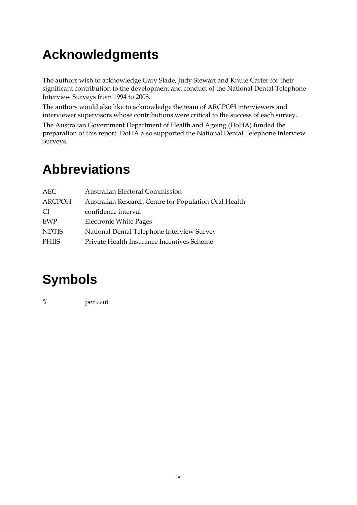# <span id="page-3-0"></span>**Acknowledgments**

The authors wish to acknowledge Gary Slade, Judy Stewart and Knute Carter for their significant contribution to the development and conduct of the National Dental Telephone Interview Surveys from 1994 to 2008.

The authors would also like to acknowledge the team of ARCPOH interviewers and interviewer supervisors whose contributions were critical to the success of each survey.

The Australian Government Department of Health and Ageing (DoHA) funded the preparation of this report. DoHA also supported the National Dental Telephone Interview Surveys.

# <span id="page-3-1"></span>**Abbreviations**

| AEC           | <b>Australian Electoral Commission</b>                |
|---------------|-------------------------------------------------------|
| ARCPOH        | Australian Research Centre for Population Oral Health |
| <sup>CI</sup> | confidence interval                                   |
| EWP           | <b>Electronic White Pages</b>                         |
| <b>NDTIS</b>  | National Dental Telephone Interview Survey            |
| <b>PHIIS</b>  | Private Health Insurance Incentives Scheme            |

# <span id="page-3-2"></span>**Symbols**

% per cent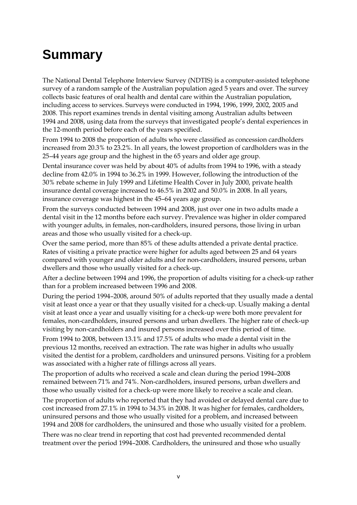# <span id="page-4-0"></span>**Summary**

The National Dental Telephone Interview Survey (NDTIS) is a computer-assisted telephone survey of a random sample of the Australian population aged 5 years and over. The survey collects basic features of oral health and dental care within the Australian population, including access to services. Surveys were conducted in 1994, 1996, 1999, 2002, 2005 and 2008. This report examines trends in dental visiting among Australian adults between 1994 and 2008, using data from the surveys that investigated people's dental experiences in the 12-month period before each of the years specified.

From 1994 to 2008 the proportion of adults who were classified as concession cardholders increased from 20.3% to 23.2%. In all years, the lowest proportion of cardholders was in the 25–44 years age group and the highest in the 65 years and older age group.

Dental insurance cover was held by about 40% of adults from 1994 to 1996, with a steady decline from 42.0% in 1994 to 36.2% in 1999. However, following the introduction of the 30% rebate scheme in July 1999 and Lifetime Health Cover in July 2000, private health insurance dental coverage increased to 46.5% in 2002 and 50.0% in 2008. In all years, insurance coverage was highest in the 45–64 years age group.

From the surveys conducted between 1994 and 2008, just over one in two adults made a dental visit in the 12 months before each survey. Prevalence was higher in older compared with younger adults, in females, non-cardholders, insured persons, those living in urban areas and those who usually visited for a check-up.

Over the same period, more than 85% of these adults attended a private dental practice. Rates of visiting a private practice were higher for adults aged between 25 and 64 years compared with younger and older adults and for non-cardholders, insured persons, urban dwellers and those who usually visited for a check-up.

After a decline between 1994 and 1996, the proportion of adults visiting for a check-up rather than for a problem increased between 1996 and 2008.

During the period 1994–2008, around 50% of adults reported that they usually made a dental visit at least once a year or that they usually visited for a check-up. Usually making a dental visit at least once a year and usually visiting for a check-up were both more prevalent for females, non-cardholders, insured persons and urban dwellers. The higher rate of check-up visiting by non-cardholders and insured persons increased over this period of time.

From 1994 to 2008, between 13.1% and 17.5% of adults who made a dental visit in the previous 12 months, received an extraction. The rate was higher in adults who usually visited the dentist for a problem, cardholders and uninsured persons. Visiting for a problem was associated with a higher rate of fillings across all years.

The proportion of adults who received a scale and clean during the period 1994–2008 remained between 71% and 74%. Non-cardholders, insured persons, urban dwellers and those who usually visited for a check-up were more likely to receive a scale and clean.

The proportion of adults who reported that they had avoided or delayed dental care due to cost increased from 27.1% in 1994 to 34.3% in 2008. It was higher for females, cardholders, uninsured persons and those who usually visited for a problem, and increased between 1994 and 2008 for cardholders, the uninsured and those who usually visited for a problem.

There was no clear trend in reporting that cost had prevented recommended dental treatment over the period 1994–2008. Cardholders, the uninsured and those who usually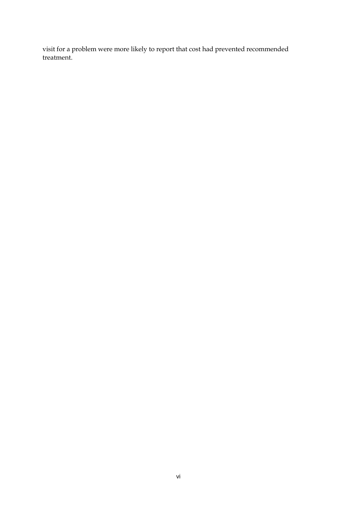visit for a problem were more likely to report that cost had prevented recommended treatment.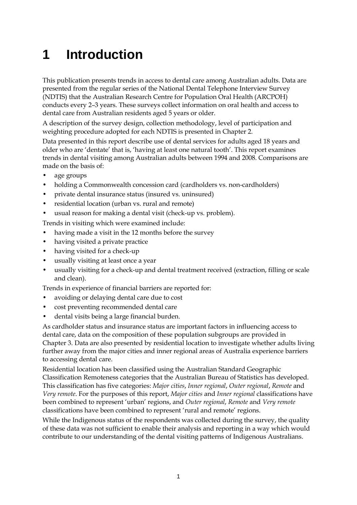# <span id="page-6-0"></span>**1 Introduction**

This publication presents trends in access to dental care among Australian adults. Data are presented from the regular series of the National Dental Telephone Interview Survey (NDTIS) that the Australian Research Centre for Population Oral Health (ARCPOH) conducts every 2–3 years. These surveys collect information on oral health and access to dental care from Australian residents aged 5 years or older.

A description of the survey design, collection methodology, level of participation and weighting procedure adopted for each NDTIS is presented in Chapter 2.

Data presented in this report describe use of dental services for adults aged 18 years and older who are 'dentate' that is, 'having at least one natural tooth'. This report examines trends in dental visiting among Australian adults between 1994 and 2008. Comparisons are made on the basis of:

- age groups
- holding a Commonwealth concession card (cardholders vs. non-cardholders)
- private dental insurance status (insured vs. uninsured)
- residential location (urban vs. rural and remote)
- usual reason for making a dental visit (check-up vs. problem).

Trends in visiting which were examined include:

- having made a visit in the 12 months before the survey
- having visited a private practice
- having visited for a check-up
- usually visiting at least once a year
- usually visiting for a check-up and dental treatment received (extraction, filling or scale and clean).

Trends in experience of financial barriers are reported for:

- avoiding or delaying dental care due to cost
- cost preventing recommended dental care
- dental visits being a large financial burden.

As cardholder status and insurance status are important factors in influencing access to dental care, data on the composition of these population subgroups are provided in Chapter 3. Data are also presented by residential location to investigate whether adults living further away from the major cities and inner regional areas of Australia experience barriers to accessing dental care.

Residential location has been classified using the Australian Standard Geographic Classification Remoteness categories that the Australian Bureau of Statistics has developed. This classification has five categories: *Major cities*, *Inner regional*, *Outer regional*, *Remote* and *Very remote*. For the purposes of this report, *Major cities* and *Inner regional* classifications have been combined to represent 'urban' regions, and *Outer regional*, *Remote* and *Very remote* classifications have been combined to represent 'rural and remote' regions.

While the Indigenous status of the respondents was collected during the survey, the quality of these data was not sufficient to enable their analysis and reporting in a way which would contribute to our understanding of the dental visiting patterns of Indigenous Australians.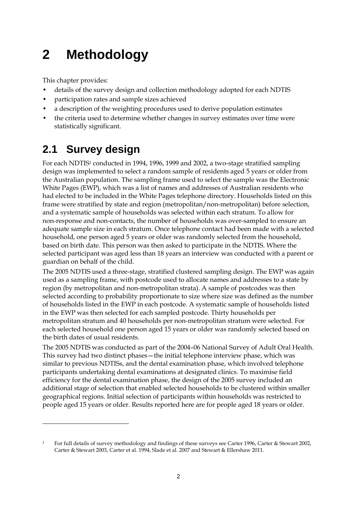# <span id="page-7-0"></span>**2 Methodology**

This chapter provides:

 $\overline{a}$ 

- details of the survey design and collection methodology adopted for each NDTIS
- participation rates and sample sizes achieved
- a description of the weighting procedures used to derive population estimates
- the criteria used to determine whether changes in survey estimates over time were statistically significant.

# <span id="page-7-1"></span>**2.1 Survey design**

For each NDTIS<sup>1</sup> conducted in 1994, 1996, 1999 and 2002, a two-stage stratified sampling design was implemented to select a random sample of residents aged 5 years or older from the Australian population. The sampling frame used to select the sample was the Electronic White Pages (EWP), which was a list of names and addresses of Australian residents who had elected to be included in the White Pages telephone directory. Households listed on this frame were stratified by state and region (metropolitan/non-metropolitan) before selection, and a systematic sample of households was selected within each stratum. To allow for non-response and non-contacts, the number of households was over-sampled to ensure an adequate sample size in each stratum. Once telephone contact had been made with a selected household, one person aged 5 years or older was randomly selected from the household, based on birth date. This person was then asked to participate in the NDTIS. Where the selected participant was aged less than 18 years an interview was conducted with a parent or guardian on behalf of the child.

The 2005 NDTIS used a three-stage, stratified clustered sampling design. The EWP was again used as a sampling frame, with postcode used to allocate names and addresses to a state by region (by metropolitan and non-metropolitan strata). A sample of postcodes was then selected according to probability proportionate to size where size was defined as the number of households listed in the EWP in each postcode. A systematic sample of households listed in the EWP was then selected for each sampled postcode. Thirty households per metropolitan stratum and 40 households per non-metropolitan stratum were selected. For each selected household one person aged 15 years or older was randomly selected based on the birth dates of usual residents.

The 2005 NDTIS was conducted as part of the 2004–06 National Survey of Adult Oral Health. This survey had two distinct phases—the initial telephone interview phase, which was similar to previous NDTISs, and the dental examination phase, which involved telephone participants undertaking dental examinations at designated clinics. To maximise field efficiency for the dental examination phase, the design of the 2005 survey included an additional stage of selection that enabled selected households to be clustered within smaller geographical regions. Initial selection of participants within households was restricted to people aged 15 years or older. Results reported here are for people aged 18 years or older.

<sup>1</sup> For full details of survey methodology and findings of these surveys see Carter 1996, Carter & Stewart 2002, Carter & Stewart 2003, Carter et al. 1994, Slade et al. 2007 and Stewart & Ellershaw 2011.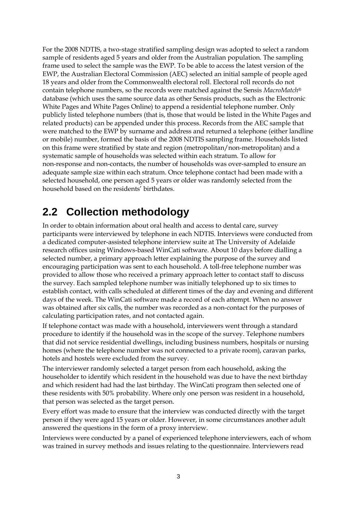For the 2008 NDTIS, a two-stage stratified sampling design was adopted to select a random sample of residents aged 5 years and older from the Australian population. The sampling frame used to select the sample was the EWP. To be able to access the latest version of the EWP, the Australian Electoral Commission (AEC) selected an initial sample of people aged 18 years and older from the Commonwealth electoral roll. Electoral roll records do not contain telephone numbers, so the records were matched against the Sensis *MacroMatch*® database (which uses the same source data as other Sensis products, such as the Electronic White Pages and White Pages Online) to append a residential telephone number. Only publicly listed telephone numbers (that is, those that would be listed in the White Pages and related products) can be appended under this process. Records from the AEC sample that were matched to the EWP by surname and address and returned a telephone (either landline or mobile) number, formed the basis of the 2008 NDTIS sampling frame. Households listed on this frame were stratified by state and region (metropolitan/non-metropolitan) and a systematic sample of households was selected within each stratum. To allow for non-response and non-contacts, the number of households was over-sampled to ensure an adequate sample size within each stratum. Once telephone contact had been made with a selected household, one person aged 5 years or older was randomly selected from the household based on the residents' birthdates.

# <span id="page-8-0"></span>**2.2 Collection methodology**

In order to obtain information about oral health and access to dental care, survey participants were interviewed by telephone in each NDTIS. Interviews were conducted from a dedicated computer-assisted telephone interview suite at The University of Adelaide research offices using Windows-based WinCati software. About 10 days before dialling a selected number, a primary approach letter explaining the purpose of the survey and encouraging participation was sent to each household. A toll-free telephone number was provided to allow those who received a primary approach letter to contact staff to discuss the survey. Each sampled telephone number was initially telephoned up to six times to establish contact, with calls scheduled at different times of the day and evening and different days of the week. The WinCati software made a record of each attempt. When no answer was obtained after six calls, the number was recorded as a non-contact for the purposes of calculating participation rates, and not contacted again.

If telephone contact was made with a household, interviewers went through a standard procedure to identify if the household was in the scope of the survey. Telephone numbers that did not service residential dwellings, including business numbers, hospitals or nursing homes (where the telephone number was not connected to a private room), caravan parks, hotels and hostels were excluded from the survey.

The interviewer randomly selected a target person from each household, asking the householder to identify which resident in the household was due to have the next birthday and which resident had had the last birthday. The WinCati program then selected one of these residents with 50% probability. Where only one person was resident in a household, that person was selected as the target person.

Every effort was made to ensure that the interview was conducted directly with the target person if they were aged 15 years or older. However, in some circumstances another adult answered the questions in the form of a proxy interview.

Interviews were conducted by a panel of experienced telephone interviewers, each of whom was trained in survey methods and issues relating to the questionnaire. Interviewers read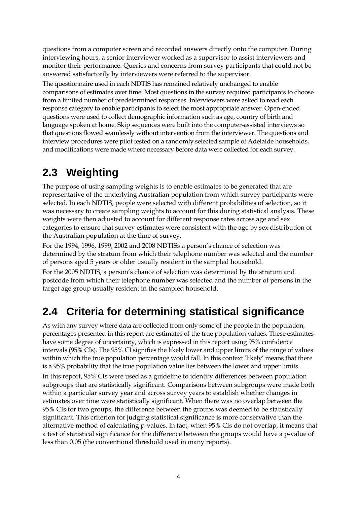questions from a computer screen and recorded answers directly onto the computer. During interviewing hours, a senior interviewer worked as a supervisor to assist interviewers and monitor their performance. Queries and concerns from survey participants that could not be answered satisfactorily by interviewers were referred to the supervisor.

The questionnaire used in each NDTIS has remained relatively unchanged to enable comparisons of estimates over time. Most questions in the survey required participants to choose from a limited number of predetermined responses. Interviewers were asked to read each response category to enable participants to select the most appropriate answer. Open-ended questions were used to collect demographic information such as age, country of birth and language spoken at home. Skip sequences were built into the computer-assisted interviews so that questions flowed seamlessly without intervention from the interviewer. The questions and interview procedures were pilot tested on a randomly selected sample of Adelaide households, and modifications were made where necessary before data were collected for each survey.

# <span id="page-9-0"></span>**2.3 Weighting**

The purpose of using sampling weights is to enable estimates to be generated that are representative of the underlying Australian population from which survey participants were selected. In each NDTIS, people were selected with different probabilities of selection, so it was necessary to create sampling weights to account for this during statistical analysis. These weights were then adjusted to account for different response rates across age and sex categories to ensure that survey estimates were consistent with the age by sex distribution of the Australian population at the time of survey.

For the 1994, 1996, 1999, 2002 and 2008 NDTISs a person's chance of selection was determined by the stratum from which their telephone number was selected and the number of persons aged 5 years or older usually resident in the sampled household.

For the 2005 NDTIS, a person's chance of selection was determined by the stratum and postcode from which their telephone number was selected and the number of persons in the target age group usually resident in the sampled household.

# <span id="page-9-1"></span>**2.4 Criteria for determining statistical significance**

As with any survey where data are collected from only some of the people in the population, percentages presented in this report are estimates of the true population values. These estimates have some degree of uncertainty, which is expressed in this report using 95% confidence intervals (95% CIs). The 95% CI signifies the likely lower and upper limits of the range of values within which the true population percentage would fall. In this context 'likely' means that there is a 95% probability that the true population value lies between the lower and upper limits. In this report, 95% CIs were used as a guideline to identify differences between population subgroups that are statistically significant. Comparisons between subgroups were made both within a particular survey year and across survey years to establish whether changes in estimates over time were statistically significant. When there was no overlap between the 95% CIs for two groups, the difference between the groups was deemed to be statistically significant. This criterion for judging statistical significance is more conservative than the alternative method of calculating p-values. In fact, when 95% CIs do not overlap, it means that a test of statistical significance for the difference between the groups would have a p-value of less than 0.05 (the conventional threshold used in many reports).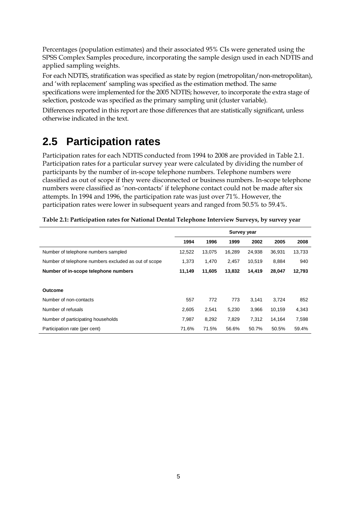Percentages (population estimates) and their associated 95% CIs were generated using the SPSS Complex Samples procedure, incorporating the sample design used in each NDTIS and applied sampling weights.

For each NDTIS, stratification was specified as state by region (metropolitan/non-metropolitan), and 'with replacement' sampling was specified as the estimation method. The same specifications were implemented for the 2005 NDTIS; however, to incorporate the extra stage of selection, postcode was specified as the primary sampling unit (cluster variable).

Differences reported in this report are those differences that are statistically significant, unless otherwise indicated in the text.

# <span id="page-10-0"></span>**2.5 Participation rates**

Participation rates for each NDTIS conducted from 1994 to 2008 are provided in [Table 2.1.](#page-10-1) Participation rates for a particular survey year were calculated by dividing the number of participants by the number of in-scope telephone numbers. Telephone numbers were classified as out of scope if they were disconnected or business numbers. In-scope telephone numbers were classified as 'non-contacts' if telephone contact could not be made after six attempts. In 1994 and 1996, the participation rate was just over 71%. However, the participation rates were lower in subsequent years and ranged from 50.5% to 59.4%.

|                                                      | <b>Survey year</b> |        |        |        |        |        |
|------------------------------------------------------|--------------------|--------|--------|--------|--------|--------|
|                                                      | 1994               | 1996   | 1999   | 2002   | 2005   | 2008   |
| Number of telephone numbers sampled                  | 12,522             | 13,075 | 16,289 | 24,938 | 36.931 | 13,733 |
| Number of telephone numbers excluded as out of scope | 1,373              | 1,470  | 2,457  | 10,519 | 8,884  | 940    |
| Number of in-scope telephone numbers                 | 11,149             | 11,605 | 13,832 | 14,419 | 28,047 | 12,793 |
|                                                      |                    |        |        |        |        |        |
| <b>Outcome</b>                                       |                    |        |        |        |        |        |
| Number of non-contacts                               | 557                | 772    | 773    | 3,141  | 3,724  | 852    |
| Number of refusals                                   | 2,605              | 2,541  | 5,230  | 3,966  | 10,159 | 4,343  |
| Number of participating households                   | 7.987              | 8,292  | 7.829  | 7.312  | 14.164 | 7,598  |
| Participation rate (per cent)                        | 71.6%              | 71.5%  | 56.6%  | 50.7%  | 50.5%  | 59.4%  |

<span id="page-10-1"></span>

| Table 2.1: Participation rates for National Dental Telephone Interview Surveys, by survey year |  |  |
|------------------------------------------------------------------------------------------------|--|--|
|                                                                                                |  |  |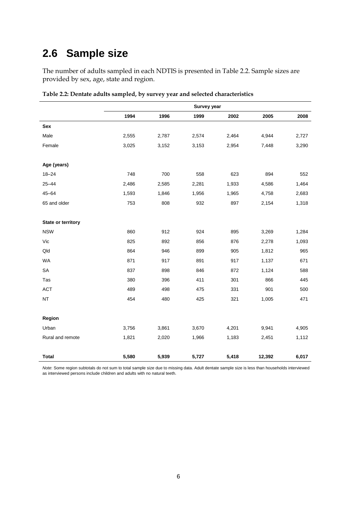# <span id="page-11-0"></span>**2.6 Sample size**

The number of adults sampled in each NDTIS is presented in [Table](#page-11-1) 2.2. Sample sizes are provided by sex, age, state and region.

|                    | <b>Survey year</b> |       |       |       |        |       |
|--------------------|--------------------|-------|-------|-------|--------|-------|
|                    | 1994               | 1996  | 1999  | 2002  | 2005   | 2008  |
| Sex                |                    |       |       |       |        |       |
| Male               | 2,555              | 2,787 | 2,574 | 2,464 | 4,944  | 2,727 |
| Female             | 3,025              | 3,152 | 3,153 | 2,954 | 7,448  | 3,290 |
| Age (years)        |                    |       |       |       |        |       |
| $18 - 24$          | 748                | 700   | 558   | 623   | 894    | 552   |
| $25 - 44$          | 2,486              | 2,585 | 2,281 | 1,933 | 4,586  | 1,464 |
| $45 - 64$          | 1,593              | 1,846 | 1,956 | 1,965 | 4,758  | 2,683 |
| 65 and older       | 753                | 808   | 932   | 897   | 2,154  | 1,318 |
| State or territory |                    |       |       |       |        |       |
| <b>NSW</b>         | 860                | 912   | 924   | 895   | 3,269  | 1,284 |
| Vic                | 825                | 892   | 856   | 876   | 2,278  | 1,093 |
| Qld                | 864                | 946   | 899   | 905   | 1,812  | 965   |
| <b>WA</b>          | 871                | 917   | 891   | 917   | 1,137  | 671   |
| SA                 | 837                | 898   | 846   | 872   | 1,124  | 588   |
| Tas                | 380                | 396   | 411   | 301   | 866    | 445   |
| <b>ACT</b>         | 489                | 498   | 475   | 331   | 901    | 500   |
| $\sf{NT}$          | 454                | 480   | 425   | 321   | 1,005  | 471   |
| Region             |                    |       |       |       |        |       |
| Urban              | 3,756              | 3,861 | 3,670 | 4,201 | 9,941  | 4,905 |
| Rural and remote   | 1,821              | 2,020 | 1,966 | 1,183 | 2,451  | 1,112 |
| <b>Total</b>       | 5,580              | 5,939 | 5,727 | 5,418 | 12,392 | 6,017 |

<span id="page-11-1"></span>**Table 2.2: Dentate adults sampled, by survey year and selected characteristics**

*Note*: Some region subtotals do not sum to total sample size due to missing data. Adult dentate sample size is less than households interviewed as interviewed persons include children and adults with no natural teeth.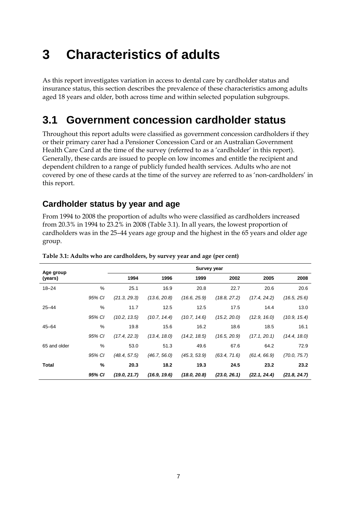# <span id="page-12-0"></span>**3 Characteristics of adults**

As this report investigates variation in access to dental care by cardholder status and insurance status, this section describes the prevalence of these characteristics among adults aged 18 years and older, both across time and within selected population subgroups.

# <span id="page-12-1"></span>**3.1 Government concession cardholder status**

Throughout this report adults were classified as government concession cardholders if they or their primary carer had a Pensioner Concession Card or an Australian Government Health Care Card at the time of the survey (referred to as a 'cardholder' in this report). Generally, these cards are issued to people on low incomes and entitle the recipient and dependent children to a range of publicly funded health services. Adults who are not covered by one of these cards at the time of the survey are referred to as 'non-cardholders' in this report.

# <span id="page-12-2"></span>**Cardholder status by year and age**

From 1994 to 2008 the proportion of adults who were classified as cardholders increased from 20.3% in 1994 to 23.2% in 2008 [\(Table 3.1\)](#page-12-3). In all years, the lowest proportion of cardholders was in the 25–44 years age group and the highest in the 65 years and older age group.

| Age group    |        |              |              | <b>Survey year</b> |              |              |              |
|--------------|--------|--------------|--------------|--------------------|--------------|--------------|--------------|
| (years)      |        | 1994         | 1996         | 1999               | 2002         | 2005         | 2008         |
| $18 - 24$    | %      | 25.1         | 16.9         | 20.8               | 22.7         | 20.6         | 20.6         |
|              | 95% CI | (21.3, 29.3) | (13.6, 20.8) | (16.6, 25.9)       | (18.8, 27.2) | (17.4, 24.2) | (16.5, 25.6) |
| $25 - 44$    | %      | 11.7         | 12.5         | 12.5               | 17.5         | 14.4         | 13.0         |
|              | 95% CI | (10.2, 13.5) | (10.7, 14.4) | (10.7, 14.6)       | (15.2, 20.0) | (12.9, 16.0) | (10.9, 15.4) |
| $45 - 64$    | %      | 19.8         | 15.6         | 16.2               | 18.6         | 18.5         | 16.1         |
|              | 95% CI | (17.4, 22.3) | (13.4, 18.0) | (14.2, 18.5)       | (16.5, 20.9) | (17.1, 20.1) | (14.4, 18.0) |
| 65 and older | %      | 53.0         | 51.3         | 49.6               | 67.6         | 64.2         | 72.9         |
|              | 95% CI | (48.4, 57.5) | (46.7, 56.0) | (45.3, 53.9)       | (63.4, 71.6) | (61.4, 66.9) | (70.0, 75.7) |
| Total        | %      | 20.3         | 18.2         | 19.3               | 24.5         | 23.2         | 23.2         |
|              | 95% CI | (19.0, 21.7) | (16.9, 19.6) | (18.0, 20.8)       | (23.0, 26.1) | (22.1, 24.4) | (21.8, 24.7) |

#### <span id="page-12-3"></span>**Table 3.1: Adults who are cardholders, by survey year and age (per cent)**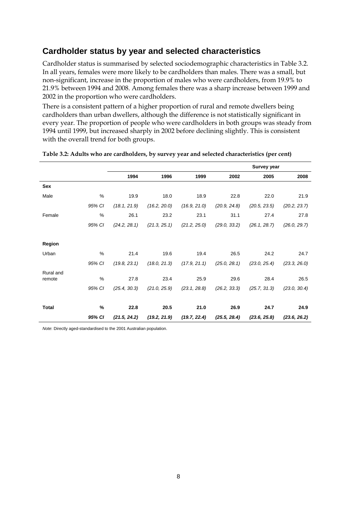# <span id="page-13-0"></span>**Cardholder status by year and selected characteristics**

Cardholder status is summarised by selected sociodemographic characteristics in [Table 3.2.](#page-13-1) In all years, females were more likely to be cardholders than males. There was a small, but non-significant, increase in the proportion of males who were cardholders, from 19.9% to 21.9% between 1994 and 2008. Among females there was a sharp increase between 1999 and 2002 in the proportion who were cardholders.

There is a consistent pattern of a higher proportion of rural and remote dwellers being cardholders than urban dwellers, although the difference is not statistically significant in every year. The proportion of people who were cardholders in both groups was steady from 1994 until 1999, but increased sharply in 2002 before declining slightly. This is consistent with the overall trend for both groups.

|           |        |              |              |              |              | <b>Survey year</b> |              |
|-----------|--------|--------------|--------------|--------------|--------------|--------------------|--------------|
|           |        | 1994         | 1996         | 1999         | 2002         | 2005               | 2008         |
| Sex       |        |              |              |              |              |                    |              |
| Male      | %      | 19.9         | 18.0         | 18.9         | 22.8         | 22.0               | 21.9         |
|           | 95% CI | (18.1, 21.9) | (16.2, 20.0) | (16.9, 21.0) | (20.9, 24.8) | (20.5, 23.5)       | (20.2, 23.7) |
| Female    | $\%$   | 26.1         | 23.2         | 23.1         | 31.1         | 27.4               | 27.8         |
|           | 95% CI | (24.2, 28.1) | (21.3, 25.1) | (21.2, 25.0) | (29.0, 33.2) | (26.1, 28.7)       | (26.0, 29.7) |
|           |        |              |              |              |              |                    |              |
| Region    |        |              |              |              |              |                    |              |
| Urban     | %      | 21.4         | 19.6         | 19.4         | 26.5         | 24.2               | 24.7         |
|           | 95% CI | (19.8, 23.1) | (18.0, 21.3) | (17.9, 21.1) | (25.0, 28.1) | (23.0, 25.4)       | (23.3, 26.0) |
| Rural and |        |              |              |              |              |                    |              |
| remote    | $\%$   | 27.8         | 23.4         | 25.9         | 29.6         | 28.4               | 26.5         |
|           | 95% CI | (25.4, 30.3) | (21.0, 25.9) | (23.1, 28.8) | (26.2, 33.3) | (25.7, 31.3)       | (23.0, 30.4) |
|           |        |              |              |              |              |                    |              |
| Total     | %      | 22.8         | 20.5         | 21.0         | 26.9         | 24.7               | 24.9         |
|           | 95% CI | (21.5, 24.2) | (19.2, 21.9) | (19.7, 22.4) | (25.5, 28.4) | (23.6, 25.8)       | (23.6, 26.2) |

#### <span id="page-13-1"></span>**Table 3.2: Adults who are cardholders, by survey year and selected characteristics (per cent)**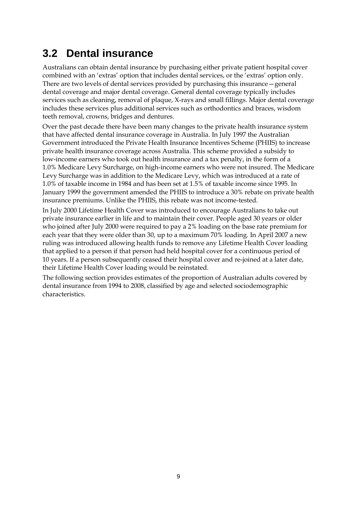# <span id="page-14-0"></span>**3.2 Dental insurance**

Australians can obtain dental insurance by purchasing either private patient hospital cover combined with an 'extras' option that includes dental services, or the 'extras' option only. There are two levels of dental services provided by purchasing this insurance—general dental coverage and major dental coverage. General dental coverage typically includes services such as cleaning, removal of plaque, X-rays and small fillings. Major dental coverage includes these services plus additional services such as orthodontics and braces, wisdom teeth removal, crowns, bridges and dentures.

Over the past decade there have been many changes to the private health insurance system that have affected dental insurance coverage in Australia. In July 1997 the Australian Government introduced the Private Health Insurance Incentives Scheme (PHIIS) to increase private health insurance coverage across Australia. This scheme provided a subsidy to low-income earners who took out health insurance and a tax penalty, in the form of a 1.0% Medicare Levy Surcharge, on high-income earners who were not insured. The Medicare Levy Surcharge was in addition to the Medicare Levy, which was introduced at a rate of 1.0% of taxable income in 1984 and has been set at 1.5% of taxable income since 1995. In January 1999 the government amended the PHIIS to introduce a 30% rebate on private health insurance premiums. Unlike the PHIIS, this rebate was not income-tested.

In July 2000 Lifetime Health Cover was introduced to encourage Australians to take out private insurance earlier in life and to maintain their cover. People aged 30 years or older who joined after July 2000 were required to pay a 2% loading on the base rate premium for each year that they were older than 30, up to a maximum 70% loading. In April 2007 a new ruling was introduced allowing health funds to remove any Lifetime Health Cover loading that applied to a person if that person had held hospital cover for a continuous period of 10 years. If a person subsequently ceased their hospital cover and re-joined at a later date, their Lifetime Health Cover loading would be reinstated.

The following section provides estimates of the proportion of Australian adults covered by dental insurance from 1994 to 2008, classified by age and selected sociodemographic characteristics.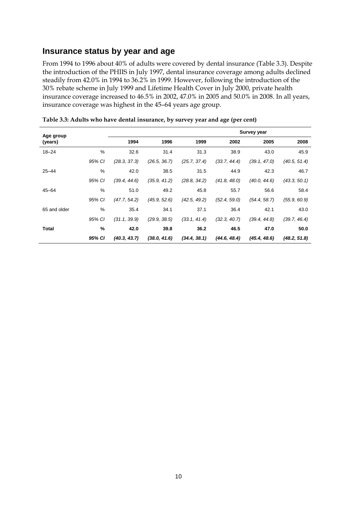## <span id="page-15-0"></span>**Insurance status by year and age**

From 1994 to 1996 about 40% of adults were covered by dental insurance [\(Table 3.3\)](#page-15-1). Despite the introduction of the PHIIS in July 1997, dental insurance coverage among adults declined steadily from 42.0% in 1994 to 36.2% in 1999. However, following the introduction of the 30% rebate scheme in July 1999 and Lifetime Health Cover in July 2000, private health insurance coverage increased to 46.5% in 2002, 47.0% in 2005 and 50.0% in 2008. In all years, insurance coverage was highest in the 45–64 years age group.

| Age group    |        |              |              |              |              | <b>Survey year</b> |              |
|--------------|--------|--------------|--------------|--------------|--------------|--------------------|--------------|
| (years)      |        | 1994         | 1996         | 1999         | 2002         | 2005               | 2008         |
| $18 - 24$    | $\%$   | 32.6         | 31.4         | 31.3         | 38.9         | 43.0               | 45.9         |
|              | 95% CI | (28.3, 37.3) | (26.5, 36.7) | (25.7, 37.4) | (33.7, 44.4) | (39.1, 47.0)       | (40.5, 51.4) |
| $25 - 44$    | $\%$   | 42.0         | 38.5         | 31.5         | 44.9         | 42.3               | 46.7         |
|              | 95% CI | (39.4, 44.6) | (35.9, 41.2) | (28.8, 34.2) | (41.8, 48.0) | (40.0, 44.6)       | (43.3, 50.1) |
| $45 - 64$    | $\%$   | 51.0         | 49.2         | 45.8         | 55.7         | 56.6               | 58.4         |
|              | 95% CI | (47.7, 54.2) | (45.9, 52.6) | (42.5, 49.2) | (52.4, 59.0) | (54.4, 58.7)       | (55.9, 60.9) |
| 65 and older | %      | 35.4         | 34.1         | 37.1         | 36.4         | 42.1               | 43.0         |
|              | 95% CI | (31.1, 39.9) | (29.9, 38.5) | (33.1, 41.4) | (32.3, 40.7) | (39.4, 44.8)       | (39.7, 46.4) |
| Total        | $\%$   | 42.0         | 39.8         | 36.2         | 46.5         | 47.0               | 50.0         |
|              | 95% CI | (40.3, 43.7) | (38.0, 41.6) | (34.4, 38.1) | (44.6, 48.4) | (45.4, 48.6)       | (48.2, 51.8) |

<span id="page-15-1"></span>**Table 3.3: Adults who have dental insurance, by survey year and age (per cent)**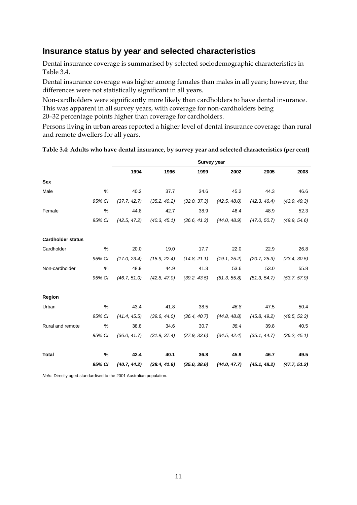## <span id="page-16-0"></span>**Insurance status by year and selected characteristics**

Dental insurance coverage is summarised by selected sociodemographic characteristics in [Table 3.4.](#page-16-1)

Dental insurance coverage was higher among females than males in all years; however, the differences were not statistically significant in all years.

Non-cardholders were significantly more likely than cardholders to have dental insurance. This was apparent in all survey years, with coverage for non-cardholders being 20–32 percentage points higher than coverage for cardholders.

Persons living in urban areas reported a higher level of dental insurance coverage than rural and remote dwellers for all years.

|                          |        |              |              | <b>Survey year</b> |              |              |              |
|--------------------------|--------|--------------|--------------|--------------------|--------------|--------------|--------------|
|                          |        | 1994         | 1996         | 1999               | 2002         | 2005         | 2008         |
| Sex                      |        |              |              |                    |              |              |              |
| Male                     | %      | 40.2         | 37.7         | 34.6               | 45.2         | 44.3         | 46.6         |
|                          | 95% CI | (37.7, 42.7) | (35.2, 40.2) | (32.0, 37.3)       | (42.5, 48.0) | (42.3, 46.4) | (43.9, 49.3) |
| Female                   | %      | 44.8         | 42.7         | 38.9               | 46.4         | 48.9         | 52.3         |
|                          | 95% CI | (42.5, 47.2) | (40.3, 45.1) | (36.6, 41.3)       | (44.0, 48.9) | (47.0, 50.7) | (49.9, 54.6) |
|                          |        |              |              |                    |              |              |              |
| <b>Cardholder status</b> |        |              |              |                    |              |              |              |
| Cardholder               | $\%$   | 20.0         | 19.0         | 17.7               | 22.0         | 22.9         | 26.8         |
|                          | 95% CI | (17.0, 23.4) | (15.9, 22.4) | (14.8, 21.1)       | (19.1, 25.2) | (20.7, 25.3) | (23.4, 30.5) |
| Non-cardholder           | %      | 48.9         | 44.9         | 41.3               | 53.6         | 53.0         | 55.8         |
|                          | 95% CI | (46.7, 51.0) | (42.8, 47.0) | (39.2, 43.5)       | (51.3, 55.8) | (51.3, 54.7) | (53.7, 57.9) |
|                          |        |              |              |                    |              |              |              |
| Region                   |        |              |              |                    |              |              |              |
| Urban                    | %      | 43.4         | 41.8         | 38.5               | 46.8         | 47.5         | 50.4         |
|                          | 95% CI | (41.4, 45.5) | (39.6, 44.0) | (36.4, 40.7)       | (44.8, 48.8) | (45.8, 49.2) | (48.5, 52.3) |
| Rural and remote         | %      | 38.8         | 34.6         | 30.7               | 38.4         | 39.8         | 40.5         |
|                          | 95% CI | (36.0, 41.7) | (31.9, 37.4) | (27.9, 33.6)       | (34.5, 42.4) | (35.1, 44.7) | (36.2, 45.1) |
|                          |        |              |              |                    |              |              |              |
| <b>Total</b>             | %      | 42.4         | 40.1         | 36.8               | 45.9         | 46.7         | 49.5         |
|                          | 95% CI | (40.7, 44.2) | (38.4, 41.9) | (35.0, 38.6)       | (44.0, 47.7) | (45.1, 48.2) | (47.7, 51.2) |

<span id="page-16-1"></span>**Table 3.4: Adults who have dental insurance, by survey year and selected characteristics (per cent)**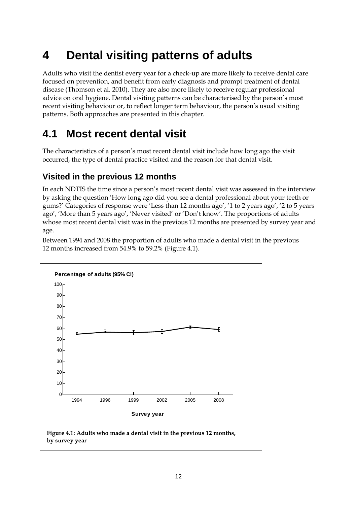# <span id="page-17-0"></span>**4 Dental visiting patterns of adults**

Adults who visit the dentist every year for a check-up are more likely to receive dental care focused on prevention, and benefit from early diagnosis and prompt treatment of dental disease (Thomson et al. 2010). They are also more likely to receive regular professional advice on oral hygiene. Dental visiting patterns can be characterised by the person's most recent visiting behaviour or, to reflect longer term behaviour, the person's usual visiting patterns. Both approaches are presented in this chapter.

# <span id="page-17-1"></span>**4.1 Most recent dental visit**

The characteristics of a person's most recent dental visit include how long ago the visit occurred, the type of dental practice visited and the reason for that dental visit.

# <span id="page-17-2"></span>**Visited in the previous 12 months**

In each NDTIS the time since a person's most recent dental visit was assessed in the interview by asking the question 'How long ago did you see a dental professional about your teeth or gums?' Categories of response were 'Less than 12 months ago', '1 to 2 years ago', '2 to 5 years ago', 'More than 5 years ago', 'Never visited' or 'Don't know'. The proportions of adults whose most recent dental visit was in the previous 12 months are presented by survey year and age.

Between 1994 and 2008 the proportion of adults who made a dental visit in the previous 12 months increased from 54.9% to 59.2% [\(Figure 4.1\)](#page-17-3).

<span id="page-17-3"></span>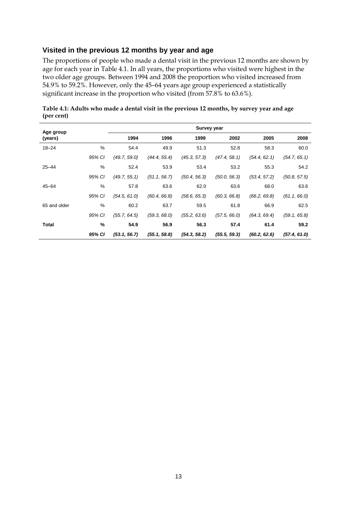# **Visited in the previous 12 months by year and age**

The proportions of people who made a dental visit in the previous 12 months are shown by age for each year in Table 4.1. In all years, the proportions who visited were highest in the two older age groups. Between 1994 and 2008 the proportion who visited increased from 54.9% to 59.2%. However, only the 45–64 years age group experienced a statistically significant increase in the proportion who visited (from 57.8% to 63.6%).

| Age group    |               |              |              | Survey year  |              |              |              |
|--------------|---------------|--------------|--------------|--------------|--------------|--------------|--------------|
| (years)      |               | 1994         | 1996         | 1999         | 2002         | 2005         | 2008         |
| $18 - 24$    | $\frac{0}{0}$ | 54.4         | 49.9         | 51.3         | 52.8         | 58.3         | 60.0         |
|              | 95% CI        | (49.7, 59.0) | (44.4, 55.4) | (45.3, 57.3) | (47.4, 58.1) | (54.4, 62.1) | (54.7, 65.1) |
| $25 - 44$    | %             | 52.4         | 53.9         | 53.4         | 53.2         | 55.3         | 54.2         |
|              | 95% CI        | (49.7, 55.1) | (51.1, 56.7) | (50.4, 56.3) | (50.0, 56.3) | (53.4, 57.2) | (50.8, 57.5) |
| $45 - 64$    | %             | 57.8         | 63.6         | 62.0         | 63.6         | 68.0         | 63.6         |
|              | 95% CI        | (54.5, 61.0) | (60.4, 66.8) | (58.6, 65.3) | (60.3, 66.8) | (66.2, 69.8) | (61.1, 66.0) |
| 65 and older | %             | 60.2         | 63.7         | 59.5         | 61.8         | 66.9         | 62.5         |
|              | 95% CI        | (55.7, 64.5) | (59.3, 68.0) | (55.2, 63.6) | (57.5, 66.0) | (64.3, 69.4) | (59.1, 65.8) |
| <b>Total</b> | %             | 54.9         | 56.9         | 56.3         | 57.4         | 61.4         | 59.2         |
|              | 95% CI        | (53.1, 56.7) | (55.1, 58.8) | (54.3, 58.2) | (55.5, 59.3) | (60.2, 62.6) | (57.4, 61.0) |

<span id="page-18-0"></span>**Table 4.1: Adults who made a dental visit in the previous 12 months, by survey year and age (per cent)**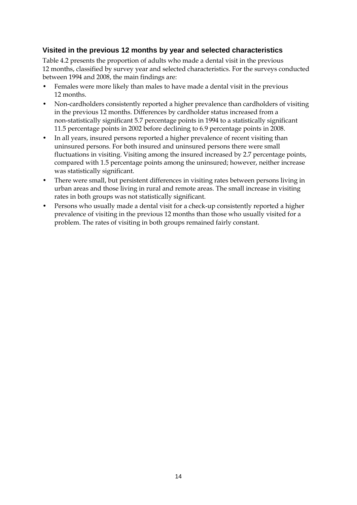### **Visited in the previous 12 months by year and selected characteristics**

[Table 4.2](#page-20-0) presents the proportion of adults who made a dental visit in the previous 12 months, classified by survey year and selected characteristics. For the surveys conducted between 1994 and 2008, the main findings are:

- Females were more likely than males to have made a dental visit in the previous 12 months.
- Non-cardholders consistently reported a higher prevalence than cardholders of visiting in the previous 12 months. Differences by cardholder status increased from a non-statistically significant 5.7 percentage points in 1994 to a statistically significant 11.5 percentage points in 2002 before declining to 6.9 percentage points in 2008.
- In all years, insured persons reported a higher prevalence of recent visiting than uninsured persons. For both insured and uninsured persons there were small fluctuations in visiting. Visiting among the insured increased by 2.7 percentage points, compared with 1.5 percentage points among the uninsured; however, neither increase was statistically significant.
- There were small, but persistent differences in visiting rates between persons living in urban areas and those living in rural and remote areas. The small increase in visiting rates in both groups was not statistically significant.
- Persons who usually made a dental visit for a check-up consistently reported a higher prevalence of visiting in the previous 12 months than those who usually visited for a problem. The rates of visiting in both groups remained fairly constant.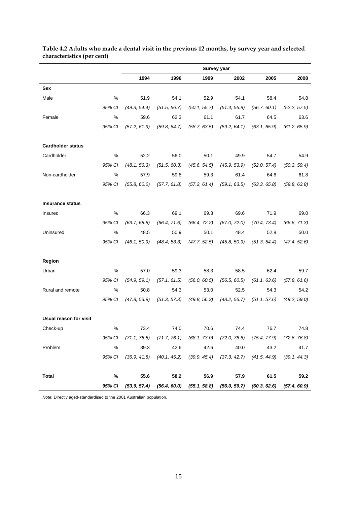|                          |        |                     |              | Survey year  |              |                                                                            |              |
|--------------------------|--------|---------------------|--------------|--------------|--------------|----------------------------------------------------------------------------|--------------|
|                          |        | 1994                | 1996         | 1999         | 2002         | 2005                                                                       | 2008         |
| Sex                      |        |                     |              |              |              |                                                                            |              |
| Male                     | %      | 51.9                | 54.1         | 52.9         | 54.1         | 58.4                                                                       | 54.8         |
|                          | 95% CI | (49.3, 54.4)        | (51.5, 56.7) | (50.1, 55.7) | (51.4, 56.9) | (56.7, 60.1)                                                               | (52.2, 57.5) |
| Female                   | %      | 59.6                | 62.3         | 61.1         | 61.7         | 64.5                                                                       | 63.6         |
|                          | 95% CI | (57.2, 61.9)        | (59.8, 64.7) | (58.7, 63.5) | (59.2, 64.1) | (63.1, 65.9)                                                               | (61.2, 65.9) |
| <b>Cardholder status</b> |        |                     |              |              |              |                                                                            |              |
| Cardholder               | %      | 52.2                | 56.0         | 50.1         | 49.9         | 54.7                                                                       | 54.9         |
|                          | 95% CI | (48.1, 56.3)        | (51.5, 60.3) | (45.6, 54.5) | (45.9, 53.9) | (52.0, 57.4)                                                               | (50.3, 59.4) |
| Non-cardholder           | %      | 57.9                | 59.8         | 59.3         | 61.4         | 64.6                                                                       | 61.8         |
|                          | 95% CI | (55.8, 60.0)        | (57.7, 61.8) | (57.2, 61.4) | (59.1, 63.5) | (63.3, 65.8)                                                               | (59.8, 63.8) |
| <b>Insurance status</b>  |        |                     |              |              |              |                                                                            |              |
| Insured                  | %      | 66.3                | 69.1         | 69.3         | 69.6         | 71.9                                                                       | 69.0         |
|                          | 95% CI | (63.7, 68.8)        | (66.4, 71.6) | (66.4, 72.2) | (67.0, 72.0) | (70.4, 73.4)                                                               | (66.6, 71.3) |
| Uninsured                | %      | 48.5                | 50.9         | 50.1         | 48.4         | 52.8                                                                       | 50.0         |
|                          | 95% CI | (46.1, 50.9)        | (48.4, 53.3) | (47.7, 52.5) | (45.8, 50.9) | (51.3, 54.4)                                                               | (47.4, 52.6) |
| Region                   |        |                     |              |              |              |                                                                            |              |
| Urban                    | %      | 57.0                | 59.3         | 58.3         | 58.5         | 62.4                                                                       | 59.7         |
|                          | 95% CI | (54.9, 59.1)        | (57.1, 61.5) | (56.0, 60.5) | (56.5, 60.5) | (61.1, 63.6)                                                               | (57.8, 61.6) |
| Rural and remote         | %      | 50.8                | 54.3         | 53.0         | 52.5         | 54.3                                                                       | 54.2         |
|                          | 95% CI | (47.8, 53.9)        | (51.3, 57.3) | (49.8, 56.3) | (48.2, 56.7) | (51.1, 57.6)                                                               | (49.2, 59.0) |
| Usual reason for visit   |        |                     |              |              |              |                                                                            |              |
| Check-up                 | %      | 73.4                | 74.0         | 70.6         | 74.4         | 76.7                                                                       | 74.8         |
|                          |        | 95% CI (71.1, 75.5) |              |              |              | $(71.7, 76.1)$ $(68.1, 73.0)$ $(72.0, 76.6)$ $(75.4, 77.9)$ $(72.6, 76.8)$ |              |
| Problem                  | %      | 39.3                | 42.6         | 42.6         | 40.0         | 43.2                                                                       | 41.7         |
|                          |        | 95% CI (36.9, 41.8) |              |              |              | $(40.1, 45.2)$ $(39.9, 45.4)$ $(37.3, 42.7)$ $(41.5, 44.9)$ $(39.1, 44.3)$ |              |
| <b>Total</b>             | %      | 55.6                | 58.2         | 56.9         | 57.9         | 61.5                                                                       | 59.2         |
|                          |        |                     |              |              |              | 95% CI (53.9, 57.4) (56.4, 60.0) (55.1, 58.8) (56.0, 59.7) (60.3, 62.6)    | (57.4, 60.9) |

#### <span id="page-20-0"></span>**Table 4.2 Adults who made a dental visit in the previous 12 months, by survey year and selected characteristics (per cent)**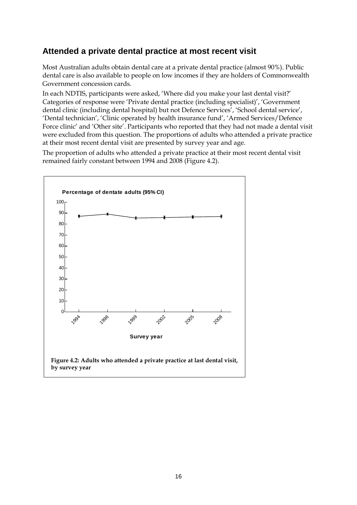# <span id="page-21-0"></span>**Attended a private dental practice at most recent visit**

Most Australian adults obtain dental care at a private dental practice (almost 90%). Public dental care is also available to people on low incomes if they are holders of Commonwealth Government concession cards.

In each NDTIS, participants were asked, 'Where did you make your last dental visit?' Categories of response were 'Private dental practice (including specialist)', 'Government dental clinic (including dental hospital) but not Defence Services', 'School dental service', 'Dental technician', 'Clinic operated by health insurance fund', 'Armed Services/Defence Force clinic' and 'Other site'. Participants who reported that they had not made a dental visit were excluded from this question. The proportions of adults who attended a private practice at their most recent dental visit are presented by survey year and age.

The proportion of adults who attended a private practice at their most recent dental visit remained fairly constant between 1994 and 2008 [\(Figure 4.2\)](#page-21-1).

<span id="page-21-1"></span>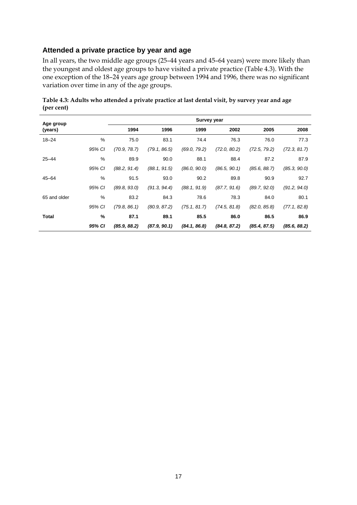### **Attended a private practice by year and age**

In all years, the two middle age groups (25–44 years and 45–64 years) were more likely than the youngest and oldest age groups to have visited a private practice [\(Table 4.3\)](#page-22-0). With the one exception of the 18–24 years age group between 1994 and 1996, there was no significant variation over time in any of the age groups.

| Age group    |        |              |              | Survey year  |              |              |              |
|--------------|--------|--------------|--------------|--------------|--------------|--------------|--------------|
| (years)      |        | 1994         | 1996         | 1999         | 2002         | 2005         | 2008         |
| $18 - 24$    | %      | 75.0         | 83.1         | 74.4         | 76.3         | 76.0         | 77.3         |
|              | 95% CI | (70.9, 78.7) | (79.1, 86.5) | (69.0, 79.2) | (72.0, 80.2) | (72.5, 79.2) | (72.3, 81.7) |
| $25 - 44$    | %      | 89.9         | 90.0         | 88.1         | 88.4         | 87.2         | 87.9         |
|              | 95% CI | (88.2, 91.4) | (88.1, 91.5) | (86.0, 90.0) | (86.5, 90.1) | (85.6, 88.7) | (85.3, 90.0) |
| $45 - 64$    | %      | 91.5         | 93.0         | 90.2         | 89.8         | 90.9         | 92.7         |
|              | 95% CI | (89.8, 93.0) | (91.3, 94.4) | (88.1, 91.9) | (87.7, 91.6) | (89.7, 92.0) | (91.2, 94.0) |
| 65 and older | %      | 83.2         | 84.3         | 78.6         | 78.3         | 84.0         | 80.1         |
|              | 95% CI | (79.8, 86.1) | (80.9, 87.2) | (75.1, 81.7) | (74.5, 81.8) | (82.0, 85.8) | (77.1, 82.8) |
| Total        | %      | 87.1         | 89.1         | 85.5         | 86.0         | 86.5         | 86.9         |
|              | 95% CI | (85.9, 88.2) | (87.9, 90.1) | (84.1, 86.8) | (84.8, 87.2) | (85.4, 87.5) | (85.6, 88.2) |

<span id="page-22-0"></span>**Table 4.3: Adults who attended a private practice at last dental visit, by survey year and age (per cent)**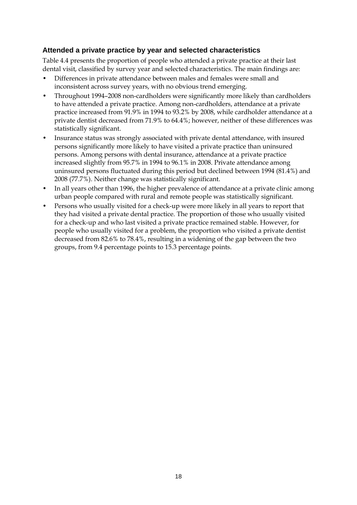### **Attended a private practice by year and selected characteristics**

[Table 4.4](#page-24-0) presents the proportion of people who attended a private practice at their last dental visit, classified by survey year and selected characteristics. The main findings are:

- Differences in private attendance between males and females were small and inconsistent across survey years, with no obvious trend emerging.
- Throughout 1994–2008 non-cardholders were significantly more likely than cardholders to have attended a private practice. Among non-cardholders, attendance at a private practice increased from 91.9% in 1994 to 93.2% by 2008, while cardholder attendance at a private dentist decreased from 71.9% to 64.4%; however, neither of these differences was statistically significant.
- Insurance status was strongly associated with private dental attendance, with insured persons significantly more likely to have visited a private practice than uninsured persons. Among persons with dental insurance, attendance at a private practice increased slightly from 95.7% in 1994 to 96.1% in 2008. Private attendance among uninsured persons fluctuated during this period but declined between 1994 (81.4%) and 2008 (77.7%). Neither change was statistically significant.
- In all years other than 1996, the higher prevalence of attendance at a private clinic among urban people compared with rural and remote people was statistically significant.
- Persons who usually visited for a check-up were more likely in all years to report that they had visited a private dental practice. The proportion of those who usually visited for a check-up and who last visited a private practice remained stable. However, for people who usually visited for a problem, the proportion who visited a private dentist decreased from 82.6% to 78.4%, resulting in a widening of the gap between the two groups, from 9.4 percentage points to 15.3 percentage points.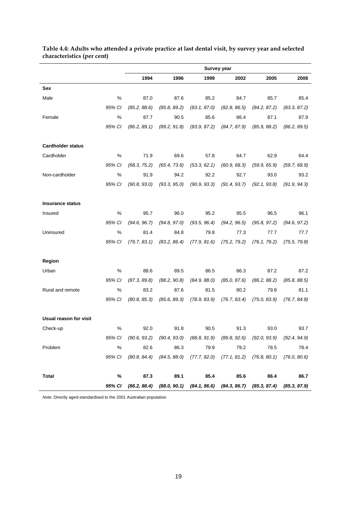|                          |        |              |              |              | <b>Survey year</b> |                                                                                           |              |
|--------------------------|--------|--------------|--------------|--------------|--------------------|-------------------------------------------------------------------------------------------|--------------|
|                          |        | 1994         | 1996         | 1999         | 2002               | 2005                                                                                      | 2008         |
| Sex                      |        |              |              |              |                    |                                                                                           |              |
| Male                     | %      | 87.0         | 87.6         | 85.2         | 84.7               | 85.7                                                                                      | 85.4         |
|                          | 95% CI | (85.2, 88.6) | (85.8, 89.2) | (83.1, 87.0) | (82.8, 86.5)       | (84.2, 87.2)                                                                              | (83.3, 87.2) |
| Female                   | %      | 87.7         | 90.5         | 85.6         | 86.4               | 87.1                                                                                      | 87.9         |
|                          | 95% CI | (86.2, 89.1) | (89.2, 91.8) | (83.9, 87.2) | (84.7, 87.9)       | (85.9, 88.2)                                                                              | (86.2, 89.5) |
| <b>Cardholder status</b> |        |              |              |              |                    |                                                                                           |              |
| Cardholder               | $\%$   | 71.9         | 69.6         | 57.8         | 64.7               | 62.9                                                                                      | 64.4         |
|                          | 95% CI | (68.3, 75.2) | (65.4, 73.6) | (53.3, 62.1) | (60.9, 68.3)       | (59.9, 65.9)                                                                              | (59.7, 68.9) |
| Non-cardholder           | %      | 91.9         | 94.2         | 92.2         | 92.7               | 93.0                                                                                      | 93.2         |
|                          | 95% CI | (90.8, 93.0) | (93.3, 95.0) | (90.9, 93.3) | (91.4, 93.7)       | (92.1, 93.8)                                                                              | (91.9, 94.3) |
| <b>Insurance status</b>  |        |              |              |              |                    |                                                                                           |              |
| Insured                  | %      | 95.7         | 96.0         | 95.2         | 95.5               | 96.5                                                                                      | 96.1         |
|                          | 95% CI | (94.6, 96.7) | (94.8, 97.0) | (93.5, 96.4) | (94.2, 96.5)       | (95.8, 97.2)                                                                              | (94.6, 97.2) |
| Uninsured                | %      | 81.4         | 84.8         | 79.8         | 77.3               | 77.7                                                                                      | 77.7         |
|                          | 95% CI | (79.7, 83.1) | (83.2, 86.4) | (77.9, 81.6) | (75.2, 79.2)       | (76.1, 79.2)                                                                              | (75.5, 79.8) |
| Region                   |        |              |              |              |                    |                                                                                           |              |
| Urban                    | $\%$   | 88.6         | 89.5         | 86.5         | 86.3               | 87.2                                                                                      | 87.2         |
|                          | 95% CI | (87.3, 89.8) | (88.2, 90.8) | (84.9, 88.0) | (85.0, 87.6)       | (86.2, 88.2)                                                                              | (85.8, 88.5) |
| Rural and remote         | $\%$   | 83.2         | 87.6         | 81.5         | 80.2               | 79.8                                                                                      | 81.1         |
|                          | 95% CI | (80.8, 85.3) | (85.6, 89.3) | (78.9, 83.9) | (76.7, 83.4)       | (75.0, 83.9)                                                                              | (76.7, 84.8) |
| Usual reason for visit   |        |              |              |              |                    |                                                                                           |              |
| Check-up                 | %      | 92.0         | 91.8         | 90.5         | 91.3               | 93.0                                                                                      | 93.7         |
|                          | 95% CI |              |              |              |                    | $(90.6, 93.2)$ $(90.4, 93.0)$ $(88.8, 91.9)$ $(89.8, 92.6)$ $(92.0, 93.9)$ $(92.4, 94.9)$ |              |
| Problem                  | $\%$   | 82.6         | 86.3         | 79.9         | 79.2               | 78.5                                                                                      | 78.4         |
|                          | 95% CI |              |              |              |                    | $(80.8, 84.4)$ $(84.5, 88.0)$ $(77.7, 82.0)$ $(77.1, 81.2)$ $(76.8, 80.1)$ $(76.0, 80.6)$ |              |
| <b>Total</b>             | %      | 87.3         | 89.1         | 85.4         | 85.6               | 86.4                                                                                      | 86.7         |
|                          | 95% CI |              |              |              |                    | $(86.2, 88.4)$ $(88.0, 90.1)$ $(84.1, 86.6)$ $(84.3, 86.7)$ $(85.3, 87.4)$ $(85.3, 87.9)$ |              |

#### <span id="page-24-0"></span>**Table 4.4: Adults who attended a private practice at last dental visit, by survey year and selected characteristics (per cent)**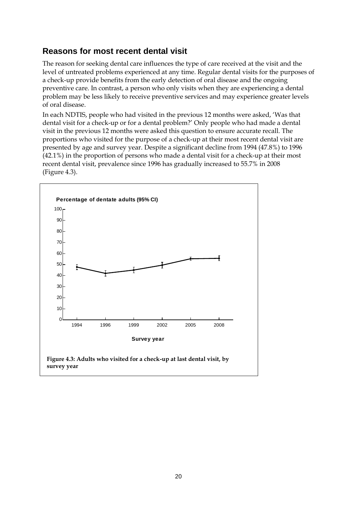# <span id="page-25-0"></span>**Reasons for most recent dental visit**

The reason for seeking dental care influences the type of care received at the visit and the level of untreated problems experienced at any time. Regular dental visits for the purposes of a check-up provide benefits from the early detection of oral disease and the ongoing preventive care. In contrast, a person who only visits when they are experiencing a dental problem may be less likely to receive preventive services and may experience greater levels of oral disease.

In each NDTIS, people who had visited in the previous 12 months were asked, 'Was that dental visit for a check-up or for a dental problem?' Only people who had made a dental visit in the previous 12 months were asked this question to ensure accurate recall. The proportions who visited for the purpose of a check-up at their most recent dental visit are presented by age and survey year. Despite a significant decline from 1994 (47.8%) to 1996 (42.1%) in the proportion of persons who made a dental visit for a check-up at their most recent dental visit, prevalence since 1996 has gradually increased to 55.7% in 2008 [\(Figure](#page-25-1) 4.3).

<span id="page-25-1"></span>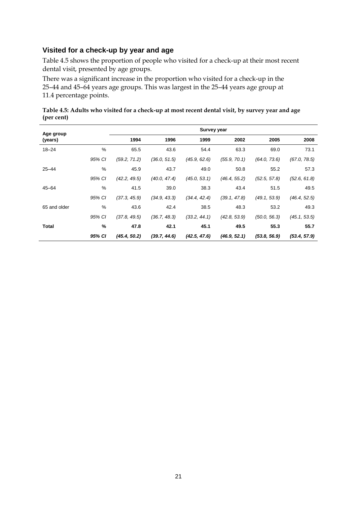### **Visited for a check-up by year and age**

[Table 4.5](#page-26-0) shows the proportion of people who visited for a check-up at their most recent dental visit, presented by age groups.

There was a significant increase in the proportion who visited for a check-up in the 25–44 and 45–64 years age groups. This was largest in the 25–44 years age group at 11.4 percentage points.

<span id="page-26-0"></span>**Table 4.5: Adults who visited for a check-up at most recent dental visit, by survey year and age (per cent)**

| Age group    |        |              |              | <b>Survey year</b> |              |              |              |
|--------------|--------|--------------|--------------|--------------------|--------------|--------------|--------------|
| (years)      |        | 1994         | 1996         | 1999               | 2002         | 2005         | 2008         |
| $18 - 24$    | %      | 65.5         | 43.6         | 54.4               | 63.3         | 69.0         | 73.1         |
|              | 95% CI | (59.2, 71.2) | (36.0, 51.5) | (45.9, 62.6)       | (55.9, 70.1) | (64.0, 73.6) | (67.0, 78.5) |
| $25 - 44$    | %      | 45.9         | 43.7         | 49.0               | 50.8         | 55.2         | 57.3         |
|              | 95% CI | (42.2, 49.5) | (40.0, 47.4) | (45.0, 53.1)       | (46.4, 55.2) | (52.5, 57.8) | (52.6, 61.8) |
| $45 - 64$    | $\%$   | 41.5         | 39.0         | 38.3               | 43.4         | 51.5         | 49.5         |
|              | 95% CI | (37.3, 45.9) | (34.9, 43.3) | (34.4, 42.4)       | (39.1, 47.8) | (49.1, 53.9) | (46.4, 52.5) |
| 65 and older | %      | 43.6         | 42.4         | 38.5               | 48.3         | 53.2         | 49.3         |
|              | 95% CI | (37.8, 49.5) | (36.7, 48.3) | (33.2, 44.1)       | (42.8, 53.9) | (50.0, 56.3) | (45.1, 53.5) |
| Total        | %      | 47.8         | 42.1         | 45.1               | 49.5         | 55.3         | 55.7         |
|              | 95% CI | (45.4, 50.2) | (39.7, 44.6) | (42.5, 47.6)       | (46.9, 52.1) | (53.8, 56.9) | (53.4, 57.9) |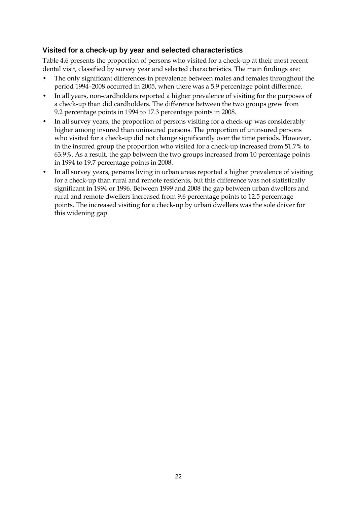### **Visited for a check-up by year and selected characteristics**

[Table 4.6](#page-28-0) presents the proportion of persons who visited for a check-up at their most recent dental visit, classified by survey year and selected characteristics. The main findings are:

- The only significant differences in prevalence between males and females throughout the period 1994–2008 occurred in 2005, when there was a 5.9 percentage point difference.
- In all years, non-cardholders reported a higher prevalence of visiting for the purposes of a check-up than did cardholders. The difference between the two groups grew from 9.2 percentage points in 1994 to 17.3 percentage points in 2008.
- In all survey years, the proportion of persons visiting for a check-up was considerably higher among insured than uninsured persons. The proportion of uninsured persons who visited for a check-up did not change significantly over the time periods. However, in the insured group the proportion who visited for a check-up increased from 51.7% to 63.9%. As a result, the gap between the two groups increased from 10 percentage points in 1994 to 19.7 percentage points in 2008.
- In all survey years, persons living in urban areas reported a higher prevalence of visiting for a check-up than rural and remote residents, but this difference was not statistically significant in 1994 or 1996. Between 1999 and 2008 the gap between urban dwellers and rural and remote dwellers increased from 9.6 percentage points to 12.5 percentage points. The increased visiting for a check-up by urban dwellers was the sole driver for this widening gap.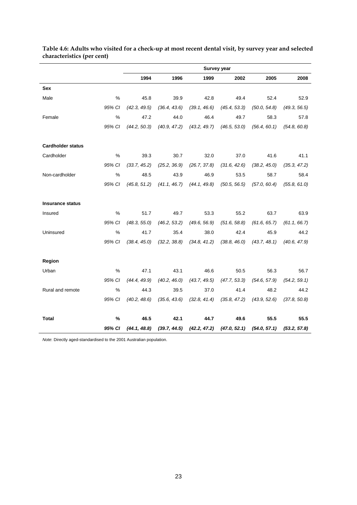|                          |        |              |              |              | <b>Survey year</b> |              |              |
|--------------------------|--------|--------------|--------------|--------------|--------------------|--------------|--------------|
|                          |        | 1994         | 1996         | 1999         | 2002               | 2005         | 2008         |
| <b>Sex</b>               |        |              |              |              |                    |              |              |
| Male                     | %      | 45.8         | 39.9         | 42.8         | 49.4               | 52.4         | 52.9         |
|                          | 95% CI | (42.3, 49.5) | (36.4, 43.6) | (39.1, 46.6) | (45.4, 53.3)       | (50.0, 54.8) | (49.3, 56.5) |
| Female                   | $\%$   | 47.2         | 44.0         | 46.4         | 49.7               | 58.3         | 57.8         |
|                          | 95% CI | (44.2, 50.3) | (40.9, 47.2) | (43.2, 49.7) | (46.5, 53.0)       | (56.4, 60.1) | (54.8, 60.8) |
| <b>Cardholder status</b> |        |              |              |              |                    |              |              |
| Cardholder               | %      | 39.3         | 30.7         | 32.0         | 37.0               | 41.6         | 41.1         |
|                          | 95% CI | (33.7, 45.2) | (25.2, 36.9) | (26.7, 37.8) | (31.6, 42.6)       | (38.2, 45.0) | (35.3, 47.2) |
| Non-cardholder           | %      | 48.5         | 43.9         | 46.9         | 53.5               | 58.7         | 58.4         |
|                          | 95% CI | (45.8, 51.2) | (41.1, 46.7) | (44.1, 49.8) | (50.5, 56.5)       | (57.0, 60.4) | (55.8, 61.0) |
| <b>Insurance status</b>  |        |              |              |              |                    |              |              |
| Insured                  | %      | 51.7         | 49.7         | 53.3         | 55.2               | 63.7         | 63.9         |
|                          | 95% CI | (48.3, 55.0) | (46.2, 53.2) | (49.6, 56.9) | (51.6, 58.8)       | (61.6, 65.7) | (61.1, 66.7) |
| Uninsured                | %      | 41.7         | 35.4         | 38.0         | 42.4               | 45.9         | 44.2         |
|                          | 95% CI | (38.4, 45.0) | (32.2, 38.8) | (34.8, 41.2) | (38.8, 46.0)       | (43.7, 48.1) | (40.6, 47.9) |
| Region                   |        |              |              |              |                    |              |              |
| Urban                    | %      | 47.1         | 43.1         | 46.6         | 50.5               | 56.3         | 56.7         |
|                          | 95% CI | (44.4, 49.9) | (40.2, 46.0) | (43.7, 49.5) | (47.7, 53.3)       | (54.6, 57.9) | (54.2, 59.1) |
| Rural and remote         | %      | 44.3         | 39.5         | 37.0         | 41.4               | 48.2         | 44.2         |
|                          | 95% CI | (40.2, 48.6) | (35.6, 43.6) | (32.8, 41.4) | (35.8, 47.2)       | (43.9, 52.6) | (37.8, 50.8) |
| <b>Total</b>             | %      | 46.5         | 42.1         | 44.7         | 49.6               | 55.5         | 55.5         |
|                          | 95% CI | (44.1, 48.8) | (39.7, 44.5) | (42.2, 47.2) | (47.0, 52.1)       | (54.0, 57.1) | (53.2, 57.8) |

<span id="page-28-0"></span>**Table 4.6: Adults who visited for a check-up at most recent dental visit, by survey year and selected characteristics (per cent)**  $\overline{\phantom{a}}$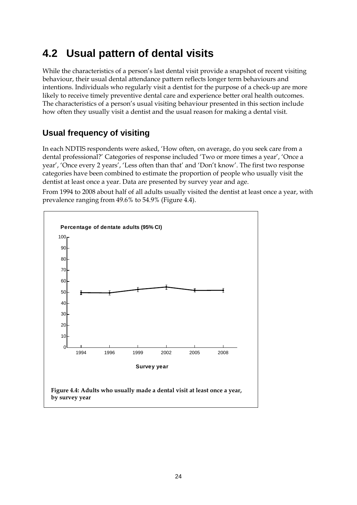# <span id="page-29-0"></span>**4.2 Usual pattern of dental visits**

While the characteristics of a person's last dental visit provide a snapshot of recent visiting behaviour, their usual dental attendance pattern reflects longer term behaviours and intentions. Individuals who regularly visit a dentist for the purpose of a check-up are more likely to receive timely preventive dental care and experience better oral health outcomes. The characteristics of a person's usual visiting behaviour presented in this section include how often they usually visit a dentist and the usual reason for making a dental visit.

# <span id="page-29-1"></span>**Usual frequency of visiting**

In each NDTIS respondents were asked, 'How often, on average, do you seek care from a dental professional?' Categories of response included 'Two or more times a year', 'Once a year', 'Once every 2 years', 'Less often than that' and 'Don't know'. The first two response categories have been combined to estimate the proportion of people who usually visit the dentist at least once a year. Data are presented by survey year and age.

From 1994 to 2008 about half of all adults usually visited the dentist at least once a year, with prevalence ranging from 49.6% to 54.9% [\(Figure 4.4\)](#page-29-2).

<span id="page-29-2"></span>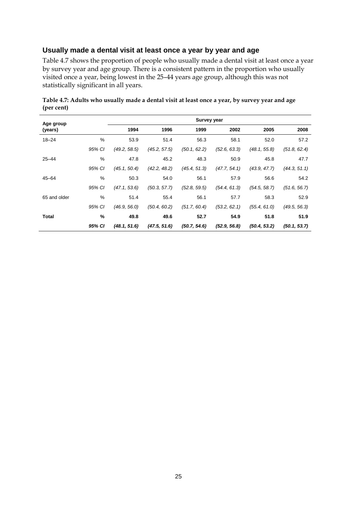### **Usually made a dental visit at least once a year by year and age**

[Table 4.7](#page-30-0) shows the proportion of people who usually made a dental visit at least once a year by survey year and age group. There is a consistent pattern in the proportion who usually visited once a year, being lowest in the 25–44 years age group, although this was not statistically significant in all years.

| Age group    |        |              |              | <b>Survey year</b> |              |              |              |
|--------------|--------|--------------|--------------|--------------------|--------------|--------------|--------------|
| (years)      |        | 1994         | 1996         | 1999               | 2002         | 2005         | 2008         |
| $18 - 24$    | %      | 53.9         | 51.4         | 56.3               | 58.1         | 52.0         | 57.2         |
|              | 95% CI | (49.2, 58.5) | (45.2, 57.5) | (50.1, 62.2)       | (52.6, 63.3) | (48.1, 55.8) | (51.8, 62.4) |
| $25 - 44$    | %      | 47.8         | 45.2         | 48.3               | 50.9         | 45.8         | 47.7         |
|              | 95% CI | (45.1, 50.4) | (42.2, 48.2) | (45.4, 51.3)       | (47.7, 54.1) | (43.9, 47.7) | (44.3, 51.1) |
| $45 - 64$    | %      | 50.3         | 54.0         | 56.1               | 57.9         | 56.6         | 54.2         |
|              | 95% CI | (47.1, 53.6) | (50.3, 57.7) | (52.8, 59.5)       | (54.4, 61.3) | (54.5, 58.7) | (51.6, 56.7) |
| 65 and older | %      | 51.4         | 55.4         | 56.1               | 57.7         | 58.3         | 52.9         |
|              | 95% CI | (46.9, 56.0) | (50.4, 60.2) | (51.7, 60.4)       | (53.2, 62.1) | (55.4, 61.0) | (49.5, 56.3) |
| <b>Total</b> | %      | 49.8         | 49.6         | 52.7               | 54.9         | 51.8         | 51.9         |
|              | 95% CI | (48.1, 51.6) | (47.5, 51.6) | (50.7, 54.6)       | (52.9, 56.8) | (50.4, 53.2) | (50.1, 53.7) |

<span id="page-30-0"></span>**Table 4.7: Adults who usually made a dental visit at least once a year, by survey year and age (per cent)**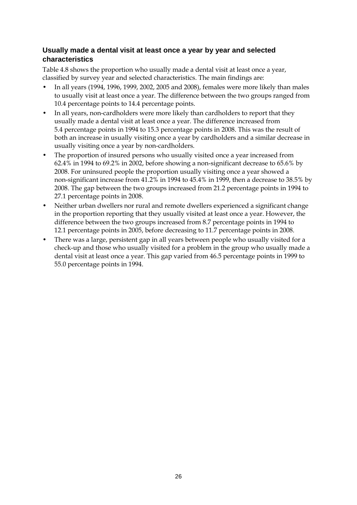## **Usually made a dental visit at least once a year by year and selected characteristics**

[Table 4.8](#page-32-0) shows the proportion who usually made a dental visit at least once a year, classified by survey year and selected characteristics. The main findings are:

- In all years (1994, 1996, 1999, 2002, 2005 and 2008), females were more likely than males to usually visit at least once a year. The difference between the two groups ranged from 10.4 percentage points to 14.4 percentage points.
- In all years, non-cardholders were more likely than cardholders to report that they usually made a dental visit at least once a year. The difference increased from 5.4 percentage points in 1994 to 15.3 percentage points in 2008. This was the result of both an increase in usually visiting once a year by cardholders and a similar decrease in usually visiting once a year by non-cardholders.
- The proportion of insured persons who usually visited once a year increased from 62.4% in 1994 to 69.2% in 2002, before showing a non-significant decrease to 65.6% by 2008. For uninsured people the proportion usually visiting once a year showed a non-significant increase from 41.2% in 1994 to 45.4% in 1999, then a decrease to 38.5% by 2008. The gap between the two groups increased from 21.2 percentage points in 1994 to 27.1 percentage points in 2008.
- Neither urban dwellers nor rural and remote dwellers experienced a significant change in the proportion reporting that they usually visited at least once a year. However, the difference between the two groups increased from 8.7 percentage points in 1994 to 12.1 percentage points in 2005, before decreasing to 11.7 percentage points in 2008.
- There was a large, persistent gap in all years between people who usually visited for a check-up and those who usually visited for a problem in the group who usually made a dental visit at least once a year. This gap varied from 46.5 percentage points in 1999 to 55.0 percentage points in 1994.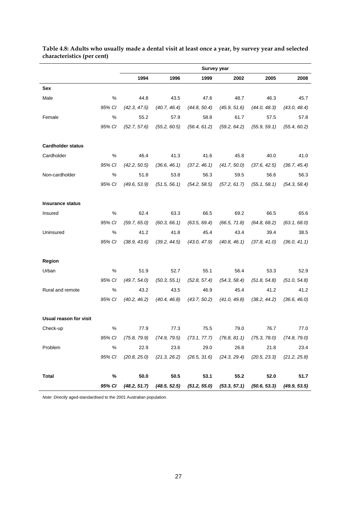|                          |        |              |              | Survey year  |              |                                                                                           |              |
|--------------------------|--------|--------------|--------------|--------------|--------------|-------------------------------------------------------------------------------------------|--------------|
|                          |        | 1994         | 1996         | 1999         | 2002         | 2005                                                                                      | 2008         |
| Sex                      |        |              |              |              |              |                                                                                           |              |
| Male                     | %      | 44.8         | 43.5         | 47.6         | 48.7         | 46.3                                                                                      | 45.7         |
|                          | 95% CI | (42.3, 47.5) | (40.7, 46.4) | (44.8, 50.4) | (45.9, 51.6) | (44.0, 48.3)                                                                              | (43.0, 48.4) |
| Female                   | %      | 55.2         | 57.9         | 58.8         | 61.7         | 57.5                                                                                      | 57.8         |
|                          | 95% CI | (52.7, 57.6) | (55.2, 60.5) | (56.4, 61.2) | (59.2, 64.2) | (55.9, 59.1)                                                                              | (55.4, 60.2) |
| <b>Cardholder status</b> |        |              |              |              |              |                                                                                           |              |
| Cardholder               | %      | 46.4         | 41.3         | 41.6         | 45.8         | 40.0                                                                                      | 41.0         |
|                          | 95% CI | (42.2, 50.5) | (36.6, 46.1) | (37.2, 46.1) | (41.7, 50.0) | (37.6, 42.5)                                                                              | (36.7, 45.4) |
| Non-cardholder           | $\%$   | 51.8         | 53.8         | 56.3         | 59.5         | 56.6                                                                                      | 56.3         |
|                          | 95% CI | (49.6, 53.9) | (51.5, 56.1) | (54.2, 58.5) | (57.2, 61.7) | (55.1, 58.1)                                                                              | (54.3, 58.4) |
| <b>Insurance status</b>  |        |              |              |              |              |                                                                                           |              |
| Insured                  | %      | 62.4         | 63.3         | 66.5         | 69.2         | 66.5                                                                                      | 65.6         |
|                          | 95% CI | (59.7, 65.0) | (60.3, 66.1) | (63.5, 69.4) | (66.5, 71.8) | (64.8, 68.2)                                                                              | (63.1, 68.0) |
| Uninsured                | $\%$   | 41.2         | 41.8         | 45.4         | 43.4         | 39.4                                                                                      | 38.5         |
|                          | 95% CI | (38.9, 43.6) | (39.2, 44.5) | (43.0, 47.9) | (40.8, 46.1) | (37.8, 41.0)                                                                              | (36.0, 41.1) |
| Region                   |        |              |              |              |              |                                                                                           |              |
| Urban                    | %      | 51.9         | 52.7         | 55.1         | 56.4         | 53.3                                                                                      | 52.9         |
|                          | 95% CI | (49.7, 54.0) | (50.3, 55.1) | (52.8, 57.4) | (54.3, 58.4) | (51.8, 54.8)                                                                              | (51.0, 54.8) |
| Rural and remote         | %      | 43.2         | 43.5         | 46.9         | 45.4         | 41.2                                                                                      | 41.2         |
|                          | 95% CI | (40.2, 46.2) | (40.4, 46.8) | (43.7, 50.2) | (41.0, 49.8) | (38.2, 44.2)                                                                              | (36.6, 46.0) |
| Usual reason for visit   |        |              |              |              |              |                                                                                           |              |
| Check-up                 | %      | 77.9         | 77.3         | 75.5         | 79.0         | 76.7                                                                                      | 77.0         |
|                          | 95% CI |              |              |              |              | $(75.8, 79.9)$ $(74.9, 79.5)$ $(73.1, 77.7)$ $(76.8, 81.1)$ $(75.3, 78.0)$ $(74.8, 79.0)$ |              |
| Problem                  | $\%$   | 22.9         | 23.6         | 29.0         | 26.8         | 21.8                                                                                      | 23.4         |
|                          | 95% CI |              |              |              |              | $(20.8, 25.0)$ $(21.3, 26.2)$ $(26.5, 31.6)$ $(24.3, 29.4)$ $(20.5, 23.3)$ $(21.2, 25.8)$ |              |
| <b>Total</b>             | %      | 50.0         | 50.5         | 53.1         | 55.2         | 52.0                                                                                      | 51.7         |
|                          |        |              |              |              |              | 95% Cl (48.2, 51.7) (48.5, 52.5) (51.2, 55.0) (53.3, 57.1) (50.6, 53.3) (49.9, 53.5)      |              |

<span id="page-32-0"></span>**Table 4.8: Adults who usually made a dental visit at least once a year, by survey year and selected characteristics (per cent)**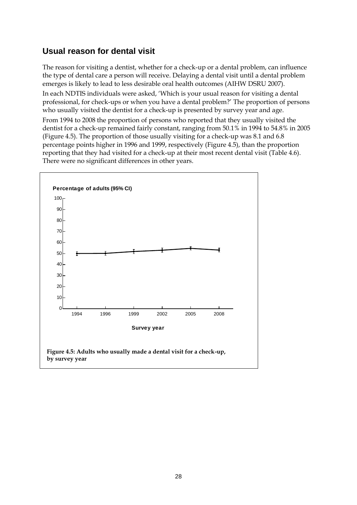# <span id="page-33-0"></span>**Usual reason for dental visit**

The reason for visiting a dentist, whether for a check-up or a dental problem, can influence the type of dental care a person will receive. Delaying a dental visit until a dental problem emerges is likely to lead to less desirable oral health outcomes (AIHW DSRU 2007).

In each NDTIS individuals were asked, 'Which is your usual reason for visiting a dental professional, for check-ups or when you have a dental problem?' The proportion of persons who usually visited the dentist for a check-up is presented by survey year and age.

From 1994 to 2008 the proportion of persons who reported that they usually visited the dentist for a check-up remained fairly constant, ranging from 50.1% in 1994 to 54.8% in 2005 [\(Figure 4.5\)](#page-33-1). The proportion of those usually visiting for a check-up was 8.1 and 6.8 percentage points higher in 1996 and 1999, respectively [\(Figure 4.5\)](#page-33-1), than the proportion reporting that they had visited for a check-up at their most recent dental visit [\(Table 4.6\)](#page-28-0). There were no significant differences in other years.

<span id="page-33-1"></span>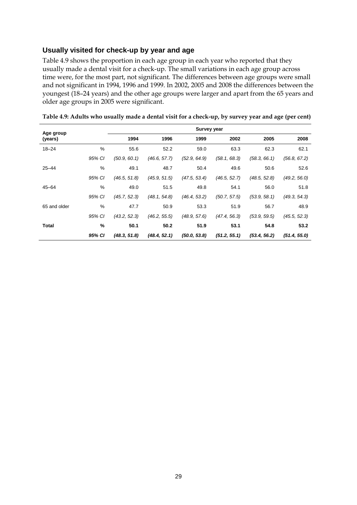### **Usually visited for check-up by year and age**

[Table 4.9](#page-34-0) shows the proportion in each age group in each year who reported that they usually made a dental visit for a check-up. The small variations in each age group across time were, for the most part, not significant. The differences between age groups were small and not significant in 1994, 1996 and 1999. In 2002, 2005 and 2008 the differences between the youngest (18–24 years) and the other age groups were larger and apart from the 65 years and older age groups in 2005 were significant.

| Age group    |        |              |              | <b>Survey year</b> |              |              |              |
|--------------|--------|--------------|--------------|--------------------|--------------|--------------|--------------|
| (years)      |        | 1994         | 1996         | 1999               | 2002         | 2005         | 2008         |
| $18 - 24$    | %      | 55.6         | 52.2         | 59.0               | 63.3         | 62.3         | 62.1         |
|              | 95% CI | (50.9, 60.1) | (46.6, 57.7) | (52.9, 64.9)       | (58.1, 68.3) | (58.3, 66.1) | (56.8, 67.2) |
| $25 - 44$    | %      | 49.1         | 48.7         | 50.4               | 49.6         | 50.6         | 52.6         |
|              | 95% CI | (46.5, 51.8) | (45.9, 51.5) | (47.5, 53.4)       | (46.5, 52.7) | (48.5, 52.8) | (49.2, 56.0) |
| $45 - 64$    | %      | 49.0         | 51.5         | 49.8               | 54.1         | 56.0         | 51.8         |
|              | 95% CI | (45.7, 52.3) | (48.1, 54.8) | (46.4, 53.2)       | (50.7, 57.5) | (53.9, 58.1) | (49.3, 54.3) |
| 65 and older | %      | 47.7         | 50.9         | 53.3               | 51.9         | 56.7         | 48.9         |
|              | 95% CI | (43.2, 52.3) | (46.2, 55.5) | (48.9, 57.6)       | (47.4, 56.3) | (53.9, 59.5) | (45.5, 52.3) |
| Total        | %      | 50.1         | 50.2         | 51.9               | 53.1         | 54.8         | 53.2         |
|              | 95% CI | (48.3, 51.8) | (48.4, 52.1) | (50.0, 53.8)       | (51.2, 55.1) | (53.4, 56.2) | (51.4, 55.0) |

<span id="page-34-0"></span>**Table 4.9: Adults who usually made a dental visit for a check-up, by survey year and age (per cent)**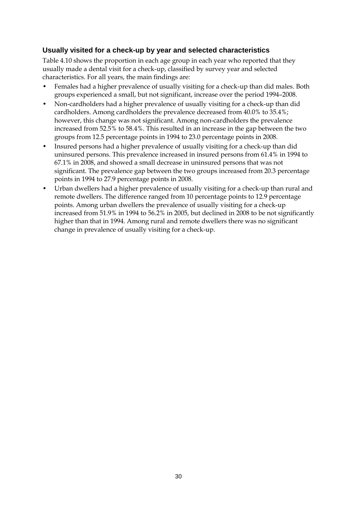### **Usually visited for a check-up by year and selected characteristics**

[Table 4.10](#page-36-0) shows the proportion in each age group in each year who reported that they usually made a dental visit for a check-up, classified by survey year and selected characteristics. For all years, the main findings are:

- Females had a higher prevalence of usually visiting for a check-up than did males. Both groups experienced a small, but not significant, increase over the period 1994–2008.
- Non-cardholders had a higher prevalence of usually visiting for a check-up than did cardholders. Among cardholders the prevalence decreased from 40.0% to 35.4%; however, this change was not significant. Among non-cardholders the prevalence increased from 52.5% to 58.4%. This resulted in an increase in the gap between the two groups from 12.5 percentage points in 1994 to 23.0 percentage points in 2008.
- Insured persons had a higher prevalence of usually visiting for a check-up than did uninsured persons. This prevalence increased in insured persons from 61.4% in 1994 to 67.1% in 2008, and showed a small decrease in uninsured persons that was not significant. The prevalence gap between the two groups increased from 20.3 percentage points in 1994 to 27.9 percentage points in 2008.
- Urban dwellers had a higher prevalence of usually visiting for a check-up than rural and remote dwellers. The difference ranged from 10 percentage points to 12.9 percentage points. Among urban dwellers the prevalence of usually visiting for a check-up increased from 51.9% in 1994 to 56.2% in 2005, but declined in 2008 to be not significantly higher than that in 1994. Among rural and remote dwellers there was no significant change in prevalence of usually visiting for a check-up.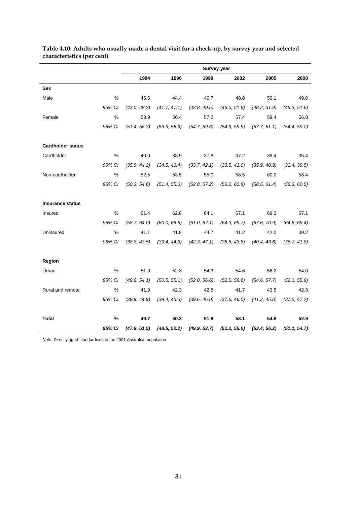|                          |        |              |              |              | <b>Survey year</b> |              |              |
|--------------------------|--------|--------------|--------------|--------------|--------------------|--------------|--------------|
|                          |        | 1994         | 1996         | 1999         | 2002               | 2005         | 2008         |
| Sex                      |        |              |              |              |                    |              |              |
| Male                     | $\%$   | 45.6         | 44.4         | 46.7         | 48.8               | 50.1         | 49.0         |
|                          | 95% CI | (43.0, 48.2) | (41.7, 47.1) | (43.8, 49.5) | (46.0, 51.6)       | (48.2, 51.9) | (46.3, 51.6) |
| Female                   | %      | 53.9         | 56.4         | 57.2         | 57.4               | 59.4         | 56.8         |
|                          | 95% CI | (51.4, 56.3) | (53.9, 58.9) | (54.7, 59.6) | (54.9, 59.9)       | (57.7, 61.1) | (54.4, 59.2) |
| <b>Cardholder status</b> |        |              |              |              |                    |              |              |
| Cardholder               | %      | 40.0         | 38.9         | 37.8         | 37.2               | 38.4         | 35.4         |
|                          | 95% CI | (35.9, 44.2) | (34.5, 43.4) | (33.7, 42.1) | (33.5, 41.0)       | (35.9, 40.9) | (31.4, 39.5) |
| Non-cardholder           | %      | 52.5         | 53.5         | 55.0         | 58.5               | 60.0         | 58.4         |
|                          | 95% CI | (50.3, 54.6) | (51.4, 55.6) | (52.8, 57.2) | (56.2, 60.8)       | (58.5, 61.4) | (56.3, 60.5) |
| <b>Insurance status</b>  |        |              |              |              |                    |              |              |
| Insured                  | %      | 61.4         | 62.8         | 64.1         | 67.1               | 69.3         | 67.1         |
|                          | 95% CI | (58.7, 64.0) | (60.0, 65.6) | (61.0, 67.1) | (64.3, 69.7)       | (67.6, 70.9) | (64.6, 69.4) |
| Uninsured                | %      | 41.1         | 41.8         | 44.7         | 41.2               | 42.0         | 39.2         |
|                          | 95% CI | (38.8, 43.5) | (39.4, 44.3) | (42.3, 47.1) | (38.6, 43.8)       | (40.4, 43.6) | (36.7, 41.8) |
| Region                   |        |              |              |              |                    |              |              |
| Urban                    | %      | 51.9         | 52.8         | 54.3         | 54.6               | 56.2         | 54.0         |
|                          | 95% CI | (49.8, 54.1) | (50.5, 55.1) | (52.0, 56.6) | (52.5, 56.6)       | (54.6, 57.7) | (52.1, 55.9) |
| Rural and remote         | %      | 41.9         | 42.3         | 42.8         | 41.7               | 43.5         | 42.3         |
|                          | 95% CI | (38.9, 44.9) | (39.4, 45.3) | (39.6, 46.0) | (37.6, 46.0)       | (41.2, 45.8) | (37.5, 47.2) |
| Total                    | $\%$   | 49.7         | 50.3         | 51.8         | 53.1               | 54.8         | 52.9         |
|                          | 95% CI | (47.9, 51.5) | (48.5, 52.2) | (49.9, 53.7) | (51.2, 55.0)       | (53.4, 56.2) | (51.1, 54.7) |

#### <span id="page-36-0"></span>**Table 4.10: Adults who usually made a dental visit for a check-up, by survey year and selected characteristics (per cent)**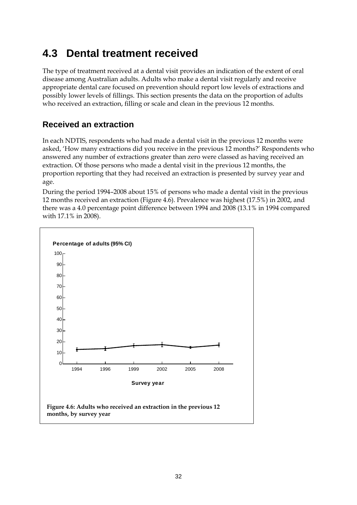# <span id="page-37-0"></span>**4.3 Dental treatment received**

The type of treatment received at a dental visit provides an indication of the extent of oral disease among Australian adults. Adults who make a dental visit regularly and receive appropriate dental care focused on prevention should report low levels of extractions and possibly lower levels of fillings. This section presents the data on the proportion of adults who received an extraction, filling or scale and clean in the previous 12 months.

# <span id="page-37-1"></span>**Received an extraction**

In each NDTIS, respondents who had made a dental visit in the previous 12 months were asked, 'How many extractions did you receive in the previous 12 months?' Respondents who answered any number of extractions greater than zero were classed as having received an extraction. Of those persons who made a dental visit in the previous 12 months, the proportion reporting that they had received an extraction is presented by survey year and age.

During the period 1994–2008 about 15% of persons who made a dental visit in the previous 12 months received an extraction [\(Figure 4.6\)](#page-37-2). Prevalence was highest (17.5%) in 2002, and there was a 4.0 percentage point difference between 1994 and 2008 (13.1% in 1994 compared with 17.1% in 2008).

<span id="page-37-2"></span>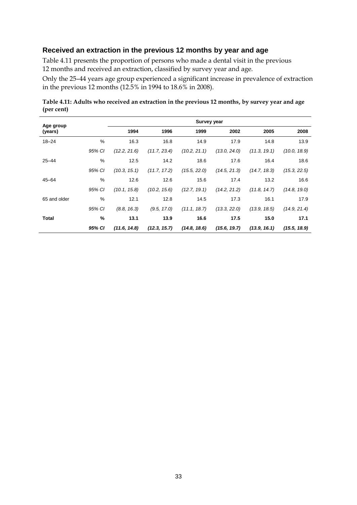## **Received an extraction in the previous 12 months by year and age**

[Table 4.11](#page-38-0) presents the proportion of persons who made a dental visit in the previous 12 months and received an extraction, classified by survey year and age.

Only the 25–44 years age group experienced a significant increase in prevalence of extraction in the previous 12 months (12.5% in 1994 to 18.6% in 2008).

<span id="page-38-0"></span>**Table 4.11: Adults who received an extraction in the previous 12 months, by survey year and age (per cent)**

| Age group    |        |              |              | <b>Survey year</b> |              |              |              |
|--------------|--------|--------------|--------------|--------------------|--------------|--------------|--------------|
| (years)      |        | 1994         | 1996         | 1999               | 2002         | 2005         | 2008         |
| $18 - 24$    | %      | 16.3         | 16.8         | 14.9               | 17.9         | 14.8         | 13.9         |
|              | 95% CI | (12.2, 21.6) | (11.7, 23.4) | (10.2, 21.1)       | (13.0, 24.0) | (11.3, 19.1) | (10.0, 18.9) |
| $25 - 44$    | %      | 12.5         | 14.2         | 18.6               | 17.6         | 16.4         | 18.6         |
|              | 95% CI | (10.3, 15.1) | (11.7, 17.2) | (15.5, 22.0)       | (14.5, 21.3) | (14.7, 18.3) | (15.3, 22.5) |
| $45 - 64$    | %      | 12.6         | 12.6         | 15.6               | 17.4         | 13.2         | 16.6         |
|              | 95% CI | (10.1, 15.8) | (10.2, 15.6) | (12.7, 19.1)       | (14.2, 21.2) | (11.8, 14.7) | (14.8, 19.0) |
| 65 and older | $\%$   | 12.1         | 12.8         | 14.5               | 17.3         | 16.1         | 17.9         |
|              | 95% CI | (8.8, 16.3)  | (9.5, 17.0)  | (11.1, 18.7)       | (13.3, 22.0) | (13.9, 18.5) | (14.9, 21.4) |
| <b>Total</b> | %      | 13.1         | 13.9         | 16.6               | 17.5         | 15.0         | 17.1         |
|              | 95% CI | (11.6, 14.8) | (12.3, 15.7) | (14.8, 18.6)       | (15.6, 19.7) | (13.9, 16.1) | (15.5, 18.9) |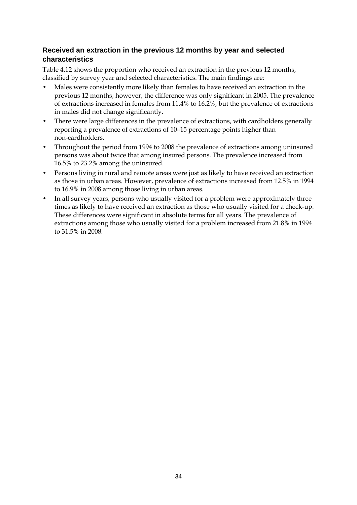## **Received an extraction in the previous 12 months by year and selected characteristics**

[Table 4.12](#page-40-0) shows the proportion who received an extraction in the previous 12 months, classified by survey year and selected characteristics. The main findings are:

- Males were consistently more likely than females to have received an extraction in the previous 12 months; however, the difference was only significant in 2005. The prevalence of extractions increased in females from 11.4% to 16.2%, but the prevalence of extractions in males did not change significantly.
- There were large differences in the prevalence of extractions, with cardholders generally reporting a prevalence of extractions of 10–15 percentage points higher than non-cardholders.
- Throughout the period from 1994 to 2008 the prevalence of extractions among uninsured persons was about twice that among insured persons. The prevalence increased from 16.5% to 23.2% among the uninsured.
- Persons living in rural and remote areas were just as likely to have received an extraction as those in urban areas. However, prevalence of extractions increased from 12.5% in 1994 to 16.9% in 2008 among those living in urban areas.
- In all survey years, persons who usually visited for a problem were approximately three times as likely to have received an extraction as those who usually visited for a check-up. These differences were significant in absolute terms for all years. The prevalence of extractions among those who usually visited for a problem increased from 21.8% in 1994 to 31.5% in 2008.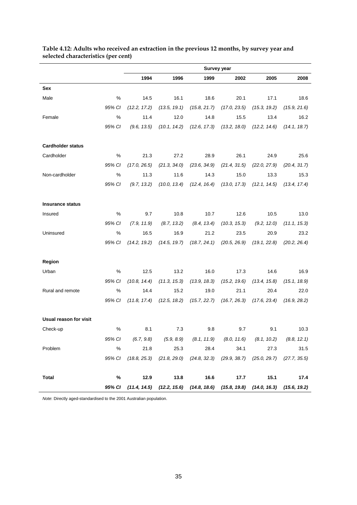|                          |        |              |                                                                                           | <b>Survey year</b>            |              |              |              |
|--------------------------|--------|--------------|-------------------------------------------------------------------------------------------|-------------------------------|--------------|--------------|--------------|
|                          |        | 1994         | 1996                                                                                      | 1999                          | 2002         | 2005         | 2008         |
| Sex                      |        |              |                                                                                           |                               |              |              |              |
| Male                     | %      | 14.5         | 16.1                                                                                      | 18.6                          | 20.1         | 17.1         | 18.6         |
|                          | 95% CI | (12.2, 17.2) | (13.5, 19.1)                                                                              | (15.8, 21.7)                  | (17.0, 23.5) | (15.3, 19.2) | (15.9, 21.6) |
| Female                   | %      | 11.4         | 12.0                                                                                      | 14.8                          | 15.5         | 13.4         | 16.2         |
|                          | 95% CI | (9.6, 13.5)  | (10.1, 14.2)                                                                              | (12.6, 17.3)                  | (13.2, 18.0) | (12.2, 14.6) | (14.1, 18.7) |
| <b>Cardholder status</b> |        |              |                                                                                           |                               |              |              |              |
| Cardholder               | $\%$   | 21.3         | 27.2                                                                                      | 28.9                          | 26.1         | 24.9         | 25.6         |
|                          | 95% CI | (17.0, 26.5) | (21.3, 34.0)                                                                              | (23.6, 34.9)                  | (21.4, 31.5) | (22.0, 27.9) | (20.4, 31.7) |
| Non-cardholder           | %      | 11.3         | 11.6                                                                                      | 14.3                          | 15.0         | 13.3         | 15.3         |
|                          | 95% CI | (9.7, 13.2)  | (10.0, 13.4)                                                                              | (12.4, 16.4)                  | (13.0, 17.3) | (12.1, 14.5) | (13.4, 17.4) |
| <b>Insurance status</b>  |        |              |                                                                                           |                               |              |              |              |
| Insured                  | %      | 9.7          | 10.8                                                                                      | 10.7                          | 12.6         | 10.5         | 13.0         |
|                          | 95% CI | (7.9, 11.9)  | (8.7, 13.2)                                                                               | (8.4, 13.4)                   | (10.3, 15.3) | (9.2, 12.0)  | (11.1, 15.3) |
| Uninsured                | $\%$   | 16.5         | 16.9                                                                                      | 21.2                          | 23.5         | 20.9         | 23.2         |
|                          | 95% CI | (14.2, 19.2) | (14.5, 19.7)                                                                              | (18.7, 24.1)                  | (20.5, 26.9) | (19.1, 22.8) | (20.2, 26.4) |
| Region                   |        |              |                                                                                           |                               |              |              |              |
| Urban                    | %      | 12.5         | 13.2                                                                                      | 16.0                          | 17.3         | 14.6         | 16.9         |
|                          | 95% CI | (10.8, 14.4) | (11.3, 15.3)                                                                              | (13.9, 18.3)                  | (15.2, 19.6) | (13.4, 15.8) | (15.1, 18.9) |
| Rural and remote         | $\%$   | 14.4         | 15.2                                                                                      | 19.0                          | 21.1         | 20.4         | 22.0         |
|                          | 95% CI | (11.8, 17.4) |                                                                                           | $(12.5, 18.2)$ $(15.7, 22.7)$ | (16.7, 26.3) | (17.6, 23.4) | (16.9, 28.2) |
| Usual reason for visit   |        |              |                                                                                           |                               |              |              |              |
| Check-up                 | %      | 8.1          | 7.3                                                                                       | 9.8                           | 9.7          | 9.1          | 10.3         |
|                          | 95% CI |              | $(6.7, 9.8)$ $(5.9, 8.9)$ $(8.1, 11.9)$ $(8.0, 11.6)$ $(8.1, 10.2)$ $(8.8, 12.1)$         |                               |              |              |              |
| Problem                  | %      | 21.8         | 25.3                                                                                      | 28.4                          | 34.1         | 27.3         | 31.5         |
|                          | 95% CI |              | $(18.8, 25.3)$ $(21.8, 29.0)$ $(24.8, 32.3)$ $(29.9, 38.7)$ $(25.0, 29.7)$ $(27.7, 35.5)$ |                               |              |              |              |
| <b>Total</b>             | %      | 12.9         | 13.8                                                                                      | 16.6                          | 17.7         | 15.1         | 17.4         |
|                          | 95% CI |              | $(11.4, 14.5)$ $(12.2, 15.6)$ $(14.8, 18.6)$ $(15.8, 19.8)$ $(14.0, 16.3)$ $(15.6, 19.2)$ |                               |              |              |              |

#### <span id="page-40-0"></span>**Table 4.12: Adults who received an extraction in the previous 12 months, by survey year and selected characteristics (per cent)**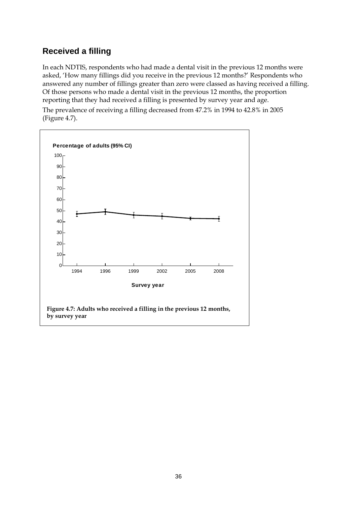# <span id="page-41-0"></span>**Received a filling**

In each NDTIS, respondents who had made a dental visit in the previous 12 months were asked, 'How many fillings did you receive in the previous 12 months?' Respondents who answered any number of fillings greater than zero were classed as having received a filling. Of those persons who made a dental visit in the previous 12 months, the proportion reporting that they had received a filling is presented by survey year and age.

The prevalence of receiving a filling decreased from 47.2% in 1994 to 42.8% in 2005 (Figure 4.7).

<span id="page-41-1"></span>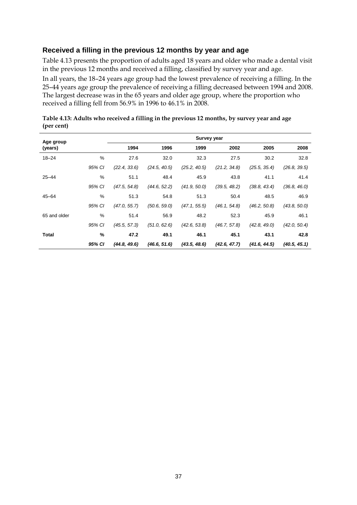### **Received a filling in the previous 12 months by year and age**

[Table 4.13](#page-42-0) presents the proportion of adults aged 18 years and older who made a dental visit in the previous 12 months and received a filling, classified by survey year and age.

In all years, the 18–24 years age group had the lowest prevalence of receiving a filling. In the 25–44 years age group the prevalence of receiving a filling decreased between 1994 and 2008. The largest decrease was in the 65 years and older age group, where the proportion who received a filling fell from 56.9% in 1996 to 46.1% in 2008.

| Age group    |               |              |              | <b>Survey year</b> |              |              |              |
|--------------|---------------|--------------|--------------|--------------------|--------------|--------------|--------------|
| (years)      |               | 1994         | 1996         | 1999               | 2002         | 2005         | 2008         |
| $18 - 24$    | %             | 27.6         | 32.0         | 32.3               | 27.5         | 30.2         | 32.8         |
|              | 95% CI        | (22.4, 33.6) | (24.5, 40.5) | (25.2, 40.5)       | (21.2, 34.8) | (25.5, 35.4) | (26.8, 39.5) |
| $25 - 44$    | $\frac{0}{0}$ | 51.1         | 48.4         | 45.9               | 43.8         | 41.1         | 41.4         |
|              | 95% CI        | (47.5, 54.8) | (44.6, 52.2) | (41.9, 50.0)       | (39.5, 48.2) | (38.8, 43.4) | (36.8, 46.0) |
| $45 - 64$    | %             | 51.3         | 54.8         | 51.3               | 50.4         | 48.5         | 46.9         |
|              | 95% CI        | (47.0, 55.7) | (50.6, 59.0) | (47.1, 55.5)       | (46.1, 54.8) | (46.2, 50.8) | (43.8, 50.0) |
| 65 and older | %             | 51.4         | 56.9         | 48.2               | 52.3         | 45.9         | 46.1         |
|              | 95% CI        | (45.5, 57.3) | (51.0, 62.6) | (42.6, 53.8)       | (46.7, 57.8) | (42.8, 49.0) | (42.0, 50.4) |
| Total        | %             | 47.2         | 49.1         | 46.1               | 45.1         | 43.1         | 42.8         |
|              | 95% CI        | (44.8, 49.6) | (46.6, 51.6) | (43.5, 48.6)       | (42.6, 47.7) | (41.6, 44.5) | (40.5, 45.1) |

<span id="page-42-0"></span>**Table 4.13: Adults who received a filling in the previous 12 months, by survey year and age (per cent)**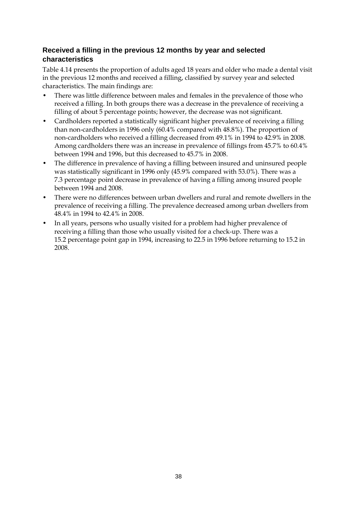## **Received a filling in the previous 12 months by year and selected characteristics**

[Table 4.14](#page-44-0) presents the proportion of adults aged 18 years and older who made a dental visit in the previous 12 months and received a filling, classified by survey year and selected characteristics. The main findings are:

- There was little difference between males and females in the prevalence of those who received a filling. In both groups there was a decrease in the prevalence of receiving a filling of about 5 percentage points; however, the decrease was not significant.
- Cardholders reported a statistically significant higher prevalence of receiving a filling than non-cardholders in 1996 only (60.4% compared with 48.8%). The proportion of non-cardholders who received a filling decreased from 49.1% in 1994 to 42.9% in 2008. Among cardholders there was an increase in prevalence of fillings from 45.7% to 60.4% between 1994 and 1996, but this decreased to 45.7% in 2008.
- The difference in prevalence of having a filling between insured and uninsured people was statistically significant in 1996 only (45.9% compared with 53.0%). There was a 7.3 percentage point decrease in prevalence of having a filling among insured people between 1994 and 2008.
- There were no differences between urban dwellers and rural and remote dwellers in the prevalence of receiving a filling. The prevalence decreased among urban dwellers from 48.4% in 1994 to 42.4% in 2008.
- In all years, persons who usually visited for a problem had higher prevalence of receiving a filling than those who usually visited for a check-up. There was a 15.2 percentage point gap in 1994, increasing to 22.5 in 1996 before returning to 15.2 in 2008.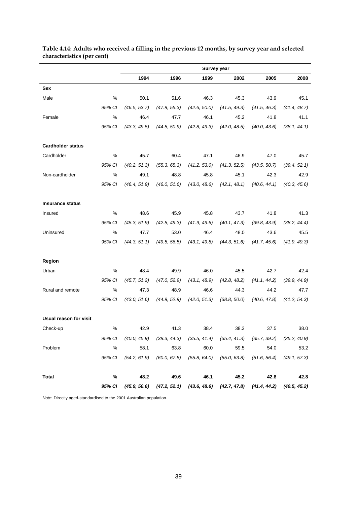|                          |        |              |              | Survey year                                  |                               |                                                                                           |                               |
|--------------------------|--------|--------------|--------------|----------------------------------------------|-------------------------------|-------------------------------------------------------------------------------------------|-------------------------------|
|                          |        | 1994         | 1996         | 1999                                         | 2002                          | 2005                                                                                      | 2008                          |
| Sex                      |        |              |              |                                              |                               |                                                                                           |                               |
| Male                     | %      | 50.1         | 51.6         | 46.3                                         | 45.3                          | 43.9                                                                                      | 45.1                          |
|                          | 95% CI | (46.5, 53.7) | (47.9, 55.3) | (42.6, 50.0)                                 | (41.5, 49.3)                  | (41.5, 46.3)                                                                              | (41.4, 48.7)                  |
| Female                   | %      | 46.4         | 47.7         | 46.1                                         | 45.2                          | 41.8                                                                                      | 41.1                          |
|                          | 95% CI | (43.3, 49.5) | (44.5, 50.9) | (42.8, 49.3)                                 | (42.0, 48.5)                  | (40.0, 43.6)                                                                              | (38.1, 44.1)                  |
| <b>Cardholder status</b> |        |              |              |                                              |                               |                                                                                           |                               |
| Cardholder               | %      | 45.7         | 60.4         | 47.1                                         | 46.9                          | 47.0                                                                                      | 45.7                          |
|                          | 95% CI | (40.2, 51.3) | (55.3, 65.3) | (41.2, 53.0)                                 | (41.3, 52.5)                  | (43.5, 50.7)                                                                              | (39.4, 52.1)                  |
| Non-cardholder           | %      | 49.1         | 48.8         | 45.8                                         | 45.1                          | 42.3                                                                                      | 42.9                          |
|                          | 95% CI | (46.4, 51.9) | (46.0, 51.6) | (43.0, 48.6)                                 | (42.1, 48.1)                  | (40.6, 44.1)                                                                              | (40.3, 45.6)                  |
| <b>Insurance status</b>  |        |              |              |                                              |                               |                                                                                           |                               |
| Insured                  | %      | 48.6         | 45.9         | 45.8                                         | 43.7                          | 41.8                                                                                      | 41.3                          |
|                          | 95% CI | (45.3, 51.9) | (42.5, 49.3) | (41.9, 49.6)                                 | (40.1, 47.3)                  | (39.8, 43.9)                                                                              | (38.2, 44.4)                  |
| Uninsured                | %      | 47.7         | 53.0         | 46.4                                         | 48.0                          | 43.6                                                                                      | 45.5                          |
|                          | 95% CI | (44.3, 51.1) | (49.5, 56.5) | (43.1, 49.8)                                 | (44.3, 51.6)                  | (41.7, 45.6)                                                                              | (41.9, 49.3)                  |
| Region                   |        |              |              |                                              |                               |                                                                                           |                               |
| Urban                    | %      | 48.4         | 49.9         | 46.0                                         | 45.5                          | 42.7                                                                                      | 42.4                          |
|                          | 95% CI | (45.7, 51.2) | (47.0, 52.9) | (43.1, 48.9)                                 | (42.8, 48.2)                  | (41.1, 44.2)                                                                              | (39.9, 44.9)                  |
| Rural and remote         | $\%$   | 47.3         | 48.9         | 46.6                                         | 44.3                          | 44.2                                                                                      | 47.7                          |
|                          | 95% CI | (43.0, 51.6) | (44.9, 52.9) | (42.0, 51.3)                                 | (38.8, 50.0)                  | (40.6, 47.8)                                                                              | (41.2, 54.3)                  |
| Usual reason for visit   |        |              |              |                                              |                               |                                                                                           |                               |
| Check-up                 | %      | 42.9         | 41.3         | 38.4                                         | 38.3                          | 37.5                                                                                      | 38.0                          |
|                          | 95% CI | (40.0, 45.9) |              | $(38.3, 44.3)$ $(35.5, 41.4)$ $(35.4, 41.3)$ |                               | $(35.7, 39.2)$ $(35.2, 40.9)$                                                             |                               |
| Problem                  | $\%$   | 58.1         | 63.8         | 60.0                                         | 59.5                          | 54.0                                                                                      | 53.2                          |
|                          | 95% CI | (54.2, 61.9) | (60.0, 67.5) |                                              | $(55.8, 64.0)$ $(55.0, 63.8)$ |                                                                                           | $(51.6, 56.4)$ $(49.1, 57.3)$ |
| <b>Total</b>             | %      | 48.2         | 49.6         | 46.1                                         | 45.2                          | 42.8                                                                                      | 42.8                          |
|                          | 95% CI |              |              |                                              |                               | $(45.9, 50.6)$ $(47.2, 52.1)$ $(43.6, 48.6)$ $(42.7, 47.8)$ $(41.4, 44.2)$ $(40.5, 45.2)$ |                               |

#### <span id="page-44-0"></span>**Table 4.14: Adults who received a filling in the previous 12 months, by survey year and selected characteristics (per cent)**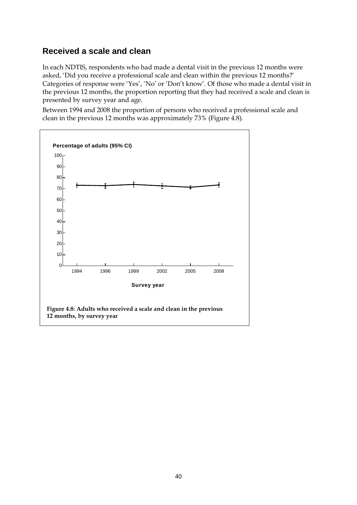## <span id="page-45-0"></span>**Received a scale and clean**

In each NDTIS, respondents who had made a dental visit in the previous 12 months were asked, 'Did you receive a professional scale and clean within the previous 12 months?' Categories of response were 'Yes', 'No' or 'Don't know'. Of those who made a dental visit in the previous 12 months, the proportion reporting that they had received a scale and clean is presented by survey year and age.

Between 1994 and 2008 the proportion of persons who received a professional scale and clean in the previous 12 months was approximately 73% [\(Figure 4.8\)](#page-45-1).

<span id="page-45-1"></span>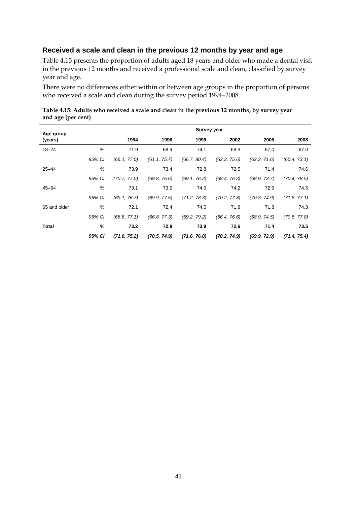# **Received a scale and clean in the previous 12 months by year and age**

[Table 4.15](#page-46-0) presents the proportion of adults aged 18 years and older who made a dental visit in the previous 12 months and received a professional scale and clean, classified by survey year and age.

There were no differences either within or between age groups in the proportion of persons who received a scale and clean during the survey period 1994–2008.

| Age group    |               |              |              | <b>Survey year</b> |              |              |              |
|--------------|---------------|--------------|--------------|--------------------|--------------|--------------|--------------|
| (years)      |               | 1994         | 1996         | 1999               | 2002         | 2005         | 2008         |
| $18 - 24$    | %             | 71.9         | 68.9         | 74.1               | 69.3         | 67.0         | 67.0         |
|              | 95% CI        | (66.1, 77.0) | (61.1, 75.7) | (66.7, 80.4)       | (62.3, 75.6) | (62.2, 71.6) | (60.4, 73.1) |
| $25 - 44$    | %             | 73.9         | 73.4         | 72.8               | 72.5         | 71.4         | 74.6         |
|              | 95% CI        | (70.7, 77.0) | (69.8, 76.6) | (69.1, 76.2)       | (68.4, 76.3) | (68.9, 73.7) | (70.4, 78.5) |
| $45 - 64$    | %             | 73.1         | 73.9         | 74.9               | 74.2         | 72.9         | 74.5         |
|              | 95% CI        | (69.1, 76.7) | (69.9, 77.5) | (71.2, 78.3)       | (70.2, 77.8) | (70.8, 74.9) | (71.8, 77.1) |
| 65 and older | $\%$          | 72.1         | 72.4         | 74.5               | 71.8         | 71.8         | 74.3         |
|              | 95% CI        | (66.5, 77.1) | (66.8, 77.3) | (69.2, 79.2)       | (66.4, 76.6) | (68.9, 74.5) | (70.5, 77.8) |
| Total        | $\frac{9}{6}$ | 73.2         | 72.8         | 73.9               | 72.6         | 71.4         | 73.5         |
|              | 95% CI        | (71.0, 75.2) | (70.5, 74.9) | (71.6, 76.0)       | (70.2, 74.9) | (69.9, 72.9) | (71.4, 75.4) |

<span id="page-46-0"></span>**Table 4.15: Adults who received a scale and clean in the previous 12 months, by survey year and age (per cent)**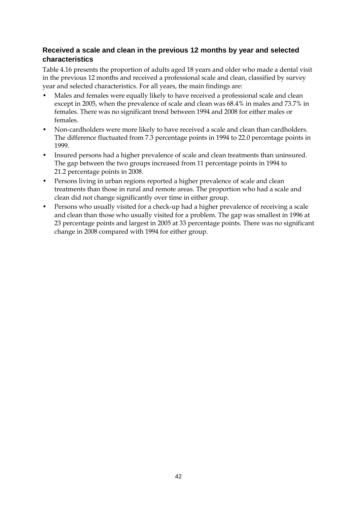## **Received a scale and clean in the previous 12 months by year and selected characteristics**

[Table 4.16](#page-48-0) presents the proportion of adults aged 18 years and older who made a dental visit in the previous 12 months and received a professional scale and clean, classified by survey year and selected characteristics. For all years, the main findings are:

- Males and females were equally likely to have received a professional scale and clean except in 2005, when the prevalence of scale and clean was 68.4% in males and 73.7% in females. There was no significant trend between 1994 and 2008 for either males or females.
- Non-cardholders were more likely to have received a scale and clean than cardholders. The difference fluctuated from 7.3 percentage points in 1994 to 22.0 percentage points in 1999.
- Insured persons had a higher prevalence of scale and clean treatments than uninsured. The gap between the two groups increased from 11 percentage points in 1994 to 21.2 percentage points in 2008.
- Persons living in urban regions reported a higher prevalence of scale and clean treatments than those in rural and remote areas. The proportion who had a scale and clean did not change significantly over time in either group.
- Persons who usually visited for a check-up had a higher prevalence of receiving a scale and clean than those who usually visited for a problem. The gap was smallest in 1996 at 23 percentage points and largest in 2005 at 33 percentage points. There was no significant change in 2008 compared with 1994 for either group.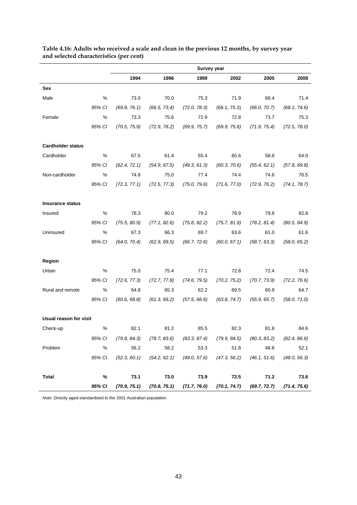|                          |        |              |                               | <b>Survey year</b>            |              |              |              |
|--------------------------|--------|--------------|-------------------------------|-------------------------------|--------------|--------------|--------------|
|                          |        | 1994         | 1996                          | 1999                          | 2002         | 2005         | 2008         |
| Sex                      |        |              |                               |                               |              |              |              |
| Male                     | $\%$   | 73.0         | 70.0                          | 75.3                          | 71.9         | 68.4         | 71.4         |
|                          | 95% CI | (69.8, 76.1) | (66.5, 73.4)                  | (72.0, 78.3)                  | (68.1, 75.3) | (66.0, 70.7) | (68.1, 74.6) |
| Female                   | %      | 73.3         | 75.6                          | 72.9                          | 72.8         | 73.7         | 75.3         |
|                          | 95% CI | (70.5, 75.9) | (72.9, 78.2)                  | (69.9, 75.7)                  | (69.9, 75.6) | (71.9, 75.4) | (72.5, 78.0) |
| <b>Cardholder status</b> |        |              |                               |                               |              |              |              |
| Cardholder               | $\%$   | 67.5         | 61.4                          | 55.4                          | 65.6         | 58.8         | 64.0         |
|                          | 95% CI | (62.4, 72.1) | (54.9, 67.5)                  | (49.3, 61.3)                  | (60.3, 70.6) | (55.4, 62.1) | (57.8, 69.8) |
| Non-cardholder           | %      | 74.8         | 75.0                          | 77.4                          | 74.4         | 74.6         | 76.5         |
|                          | 95% CI | (72.3, 77.1) | (72.5, 77.3)                  | (75.0, 79.6)                  | (71.6, 77.0) | (72.9, 76.2) | (74.1, 78.7) |
| <b>Insurance status</b>  |        |              |                               |                               |              |              |              |
| Insured                  | $\%$   | 78.3         | 80.0                          | 79.2                          | 78.9         | 79.8         | 82.8         |
|                          | 95% CI | (75.5, 80.9) | (77.1, 82.6)                  | (75.8, 82.2)                  | (75.7, 81.9) | (78.2, 81.4) | (80.5, 84.9) |
| Uninsured                | %      | 67.3         | 66.3                          | 69.7                          | 63.6         | 61.0         | 61.6         |
|                          | 95% CI | (64.0, 70.4) | (62.9, 69.5)                  | (66.7, 72.6)                  | (60.0, 67.1) | (58.7, 63.3) | (58.0, 65.2) |
| Region                   |        |              |                               |                               |              |              |              |
| Urban                    | $\%$   | 75.0         | 75.4                          | 77.1                          | 72.8         | 72.4         | 74.5         |
|                          | 95% CI | (72.6, 77.3) | (72.7, 77.8)                  | (74.6, 79.5)                  | (70.2, 75.2) | (70.7, 73.9) | (72.2, 76.6) |
| Rural and remote         | $\%$   | 64.8         | 65.3                          | 62.2                          | 69.5         | 60.9         | 64.7         |
|                          | 95% CI | (60.6, 68.8) | (61.3, 69.2)                  | (57.5, 66.6)                  | (63.8, 74.7) | (55.9, 65.7) | (58.0, 71.0) |
| Usual reason for visit   |        |              |                               |                               |              |              |              |
| Check-up                 | %      | 82.1         | 81.2                          | 85.5                          | 82.3         | 81.8         | 84.6         |
|                          | 95% CI | (79.8, 84.3) |                               | $(78.7, 83.6)$ $(83.3, 87.4)$ | (79.9, 84.5) | (80.3, 83.2) | (82.4, 86.6) |
| Problem                  | $\%$   | 56.2         | 58.2                          | 53.3                          | 51.8         | 48.8         | 52.1         |
|                          | 95% CI | (52.3, 60.1) |                               | $(54.2, 62.1)$ $(49.0, 57.6)$ | (47.3, 56.2) | (46.1, 51.6) | (48.0, 56.3) |
| <b>Total</b>             | %      | 73.1         | 73.0                          | 73.9                          | 72.5         | 71.2         | 73.6         |
|                          | 95% CI | (70.9, 75.1) | $(70.8, 75.1)$ $(71.7, 76.0)$ |                               | (70.1, 74.7) | (69.7, 72.7) | (71.4, 75.6) |

#### <span id="page-48-0"></span>**Table 4.16: Adults who received a scale and clean in the previous 12 months, by survey year and selected characteristics (per cent)**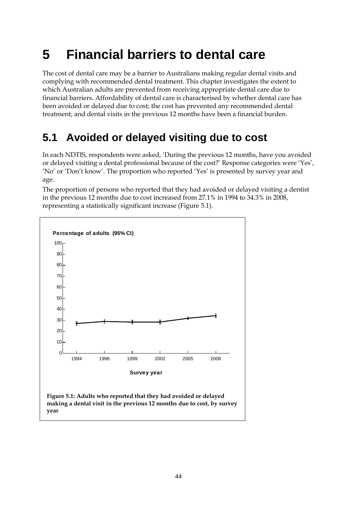# <span id="page-49-0"></span>**5 Financial barriers to dental care**

The cost of dental care may be a barrier to Australians making regular dental visits and complying with recommended dental treatment. This chapter investigates the extent to which Australian adults are prevented from receiving appropriate dental care due to financial barriers. Affordability of dental care is characterised by whether dental care has been avoided or delayed due to cost; the cost has prevented any recommended dental treatment; and dental visits in the previous 12 months have been a financial burden.

# <span id="page-49-1"></span>**5.1 Avoided or delayed visiting due to cost**

In each NDTIS, respondents were asked, 'During the previous 12 months, have you avoided or delayed visiting a dental professional because of the cost?' Response categories were 'Yes', 'No' or 'Don't know'. The proportion who reported 'Yes' is presented by survey year and age.

The proportion of persons who reported that they had avoided or delayed visiting a dentist in the previous 12 months due to cost increased from 27.1% in 1994 to 34.3% in 2008, representing a statistically significant increase [\(Figure 5.1\)](#page-49-2).



<span id="page-49-2"></span>**making a dental visit in the previous 12 months due to cost, by survey year**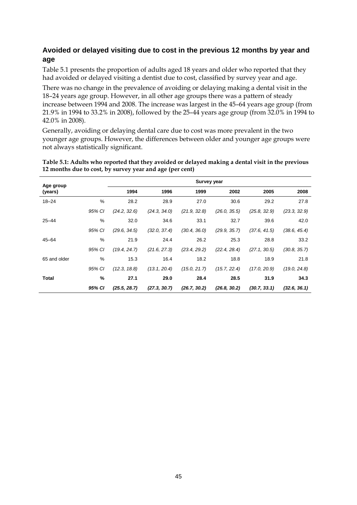## **Avoided or delayed visiting due to cost in the previous 12 months by year and age**

[Table 5.1](#page-50-0) presents the proportion of adults aged 18 years and older who reported that they had avoided or delayed visiting a dentist due to cost, classified by survey year and age.

There was no change in the prevalence of avoiding or delaying making a dental visit in the 18–24 years age group. However, in all other age groups there was a pattern of steady increase between 1994 and 2008. The increase was largest in the 45–64 years age group (from 21.9% in 1994 to 33.2% in 2008), followed by the 25–44 years age group (from 32.0% in 1994 to 42.0% in 2008).

Generally, avoiding or delaying dental care due to cost was more prevalent in the two younger age groups. However, the differences between older and younger age groups were not always statistically significant.

<span id="page-50-0"></span>**Table 5.1: Adults who reported that they avoided or delayed making a dental visit in the previous 12 months due to cost, by survey year and age (per cent)**

| Age group    |        |              |              | <b>Survey year</b> |              |              |              |
|--------------|--------|--------------|--------------|--------------------|--------------|--------------|--------------|
| (years)      |        | 1994         | 1996         | 1999               | 2002         | 2005         | 2008         |
| $18 - 24$    | %      | 28.2         | 28.9         | 27.0               | 30.6         | 29.2         | 27.8         |
|              | 95% CI | (24.2, 32.6) | (24.3, 34.0) | (21.9, 32.8)       | (26.0, 35.5) | (25.8, 32.9) | (23.3, 32.9) |
| $25 - 44$    | $\%$   | 32.0         | 34.6         | 33.1               | 32.7         | 39.6         | 42.0         |
|              | 95% CI | (29.6, 34.5) | (32.0, 37.4) | (30.4, 36.0)       | (29.9, 35.7) | (37.6, 41.5) | (38.6, 45.4) |
| $45 - 64$    | $\%$   | 21.9         | 24.4         | 26.2               | 25.3         | 28.8         | 33.2         |
|              | 95% CI | (19.4, 24.7) | (21.6, 27.3) | (23.4, 29.2)       | (22.4, 28.4) | (27.1, 30.5) | (30.8, 35.7) |
| 65 and older | %      | 15.3         | 16.4         | 18.2               | 18.8         | 18.9         | 21.8         |
|              | 95% CI | (12.3, 18.8) | (13.1, 20.4) | (15.0, 21.7)       | (15.7, 22.4) | (17.0, 20.9) | (19.0, 24.8) |
| Total        | %      | 27.1         | 29.0         | 28.4               | 28.5         | 31.9         | 34.3         |
|              | 95% CI | (25.5, 28.7) | (27.3, 30.7) | (26.7, 30.2)       | (26.8, 30.2) | (30.7, 33.1) | (32.6, 36.1) |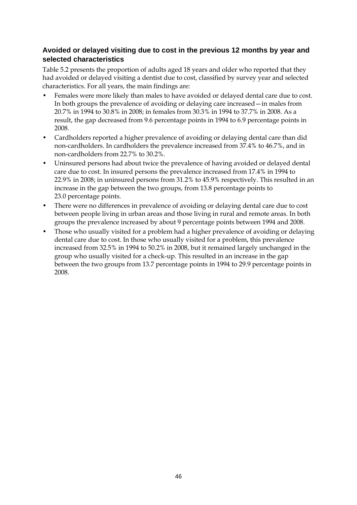### **Avoided or delayed visiting due to cost in the previous 12 months by year and selected characteristics**

[Table 5.2](#page-52-0) presents the proportion of adults aged 18 years and older who reported that they had avoided or delayed visiting a dentist due to cost, classified by survey year and selected characteristics. For all years, the main findings are:

- Females were more likely than males to have avoided or delayed dental care due to cost. In both groups the prevalence of avoiding or delaying care increased—in males from 20.7% in 1994 to 30.8% in 2008; in females from 30.3% in 1994 to 37.7% in 2008. As a result, the gap decreased from 9.6 percentage points in 1994 to 6.9 percentage points in 2008.
- Cardholders reported a higher prevalence of avoiding or delaying dental care than did non-cardholders. In cardholders the prevalence increased from 37.4% to 46.7%, and in non-cardholders from 22.7% to 30.2%.
- Uninsured persons had about twice the prevalence of having avoided or delayed dental care due to cost. In insured persons the prevalence increased from 17.4% in 1994 to 22.9% in 2008; in uninsured persons from 31.2% to 45.9% respectively. This resulted in an increase in the gap between the two groups, from 13.8 percentage points to 23.0 percentage points.
- There were no differences in prevalence of avoiding or delaying dental care due to cost between people living in urban areas and those living in rural and remote areas. In both groups the prevalence increased by about 9 percentage points between 1994 and 2008.
- Those who usually visited for a problem had a higher prevalence of avoiding or delaying dental care due to cost. In those who usually visited for a problem, this prevalence increased from 32.5% in 1994 to 50.2% in 2008, but it remained largely unchanged in the group who usually visited for a check-up. This resulted in an increase in the gap between the two groups from 13.7 percentage points in 1994 to 29.9 percentage points in 2008.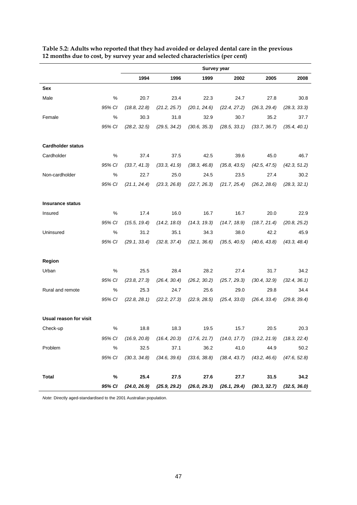|                          |        | <b>Survey year</b>  |              |              |              |                                                                                      |              |
|--------------------------|--------|---------------------|--------------|--------------|--------------|--------------------------------------------------------------------------------------|--------------|
|                          |        | 1994                | 1996         | 1999         | 2002         | 2005                                                                                 | 2008         |
| Sex                      |        |                     |              |              |              |                                                                                      |              |
| Male                     | %      | 20.7                | 23.4         | 22.3         | 24.7         | 27.8                                                                                 | 30.8         |
|                          | 95% CI | (18.8, 22.8)        | (21.2, 25.7) | (20.1, 24.6) | (22.4, 27.2) | (26.3, 29.4)                                                                         | (28.3, 33.3) |
| Female                   | %      | 30.3                | 31.8         | 32.9         | 30.7         | 35.2                                                                                 | 37.7         |
|                          | 95% CI | (28.2, 32.5)        | (29.5, 34.2) | (30.6, 35.3) | (28.5, 33.1) | (33.7, 36.7)                                                                         | (35.4, 40.1) |
| <b>Cardholder status</b> |        |                     |              |              |              |                                                                                      |              |
| Cardholder               | %      | 37.4                | 37.5         | 42.5         | 39.6         | 45.0                                                                                 | 46.7         |
|                          | 95% CI | (33.7, 41.3)        | (33.3, 41.9) | (38.3, 46.8) | (35.8, 43.5) | (42.5, 47.5)                                                                         | (42.3, 51.2) |
| Non-cardholder           | %      | 22.7                | 25.0         | 24.5         | 23.5         | 27.4                                                                                 | 30.2         |
|                          | 95% CI | (21.1, 24.4)        | (23.3, 26.8) | (22.7, 26.3) | (21.7, 25.4) | (26.2, 28.6)                                                                         | (28.3, 32.1) |
| <b>Insurance status</b>  |        |                     |              |              |              |                                                                                      |              |
| Insured                  | %      | 17.4                | 16.0         | 16.7         | 16.7         | 20.0                                                                                 | 22.9         |
|                          | 95% CI | (15.5, 19.4)        | (14.2, 18.0) | (14.3, 19.3) | (14.7, 18.9) | (18.7, 21.4)                                                                         | (20.8, 25.2) |
| Uninsured                | %      | 31.2                | 35.1         | 34.3         | 38.0         | 42.2                                                                                 | 45.9         |
|                          | 95% CI | (29.1, 33.4)        | (32.8, 37.4) | (32.1, 36.6) | (35.5, 40.5) | (40.6, 43.8)                                                                         | (43.3, 48.4) |
| Region                   |        |                     |              |              |              |                                                                                      |              |
| Urban                    | %      | 25.5                | 28.4         | 28.2         | 27.4         | 31.7                                                                                 | 34.2         |
|                          | 95% CI | (23.8, 27.3)        | (26.4, 30.4) | (26.2, 30.2) | (25.7, 29.3) | (30.4, 32.9)                                                                         | (32.4, 36.1) |
| Rural and remote         | $\%$   | 25.3                | 24.7         | 25.6         | 29.0         | 29.8                                                                                 | 34.4         |
|                          | 95% CI | (22.8, 28.1)        | (22.2, 27.3) | (22.9, 28.5) | (25.4, 33.0) | (26.4, 33.4)                                                                         | (29.8, 39.4) |
| Usual reason for visit   |        |                     |              |              |              |                                                                                      |              |
| Check-up                 | $\%$   | 18.8                | 18.3         | 19.5         | 15.7         | 20.5                                                                                 | 20.3         |
|                          |        |                     |              |              |              | 95% Cl (16.9, 20.8) (16.4, 20.3) (17.6, 21.7) (14.0, 17.7) (19.2, 21.9) (18.3, 22.4) |              |
| Problem                  | %      | 32.5                |              | 37.1 36.2    | 41.0         | 44.9                                                                                 | 50.2         |
|                          |        | 95% CI (30.3, 34.8) |              |              |              | $(34.6, 39.6)$ $(33.6, 38.8)$ $(38.4, 43.7)$ $(43.2, 46.6)$ $(47.6, 52.8)$           |              |
| <b>Total</b>             | %      | 25.4                |              | 27.5 27.6    |              | 31.5<br>27.7                                                                         | 34.2         |
|                          |        |                     |              |              |              | 95% CI (24.0, 26.9) (25.9, 29.2) (26.0, 29.3) (26.1, 29.4) (30.3, 32.7) (32.5, 36.0) |              |

<span id="page-52-0"></span>**Table 5.2: Adults who reported that they had avoided or delayed dental care in the previous 12 months due to cost, by survey year and selected characteristics (per cent)**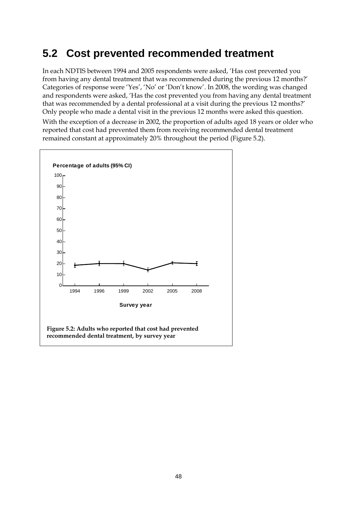# <span id="page-53-0"></span>**5.2 Cost prevented recommended treatment**

In each NDTIS between 1994 and 2005 respondents were asked, 'Has cost prevented you from having any dental treatment that was recommended during the previous 12 months?' Categories of response were 'Yes', 'No' or 'Don't know'. In 2008, the wording was changed and respondents were asked, 'Has the cost prevented you from having any dental treatment that was recommended by a dental professional at a visit during the previous 12 months?' Only people who made a dental visit in the previous 12 months were asked this question. With the exception of a decrease in 2002, the proportion of adults aged 18 years or older who reported that cost had prevented them from receiving recommended dental treatment remained constant at approximately 20% throughout the period (Figure 5.2).

<span id="page-53-1"></span>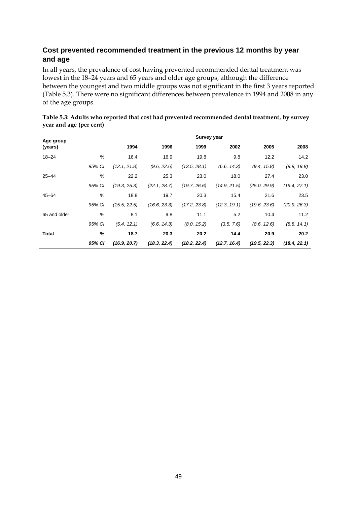## **Cost prevented recommended treatment in the previous 12 months by year and age**

In all years, the prevalence of cost having prevented recommended dental treatment was lowest in the 18–24 years and 65 years and older age groups, although the difference between the youngest and two middle groups was not significant in the first 3 years reported [\(Table 5.3\)](#page-54-0). There were no significant differences between prevalence in 1994 and 2008 in any of the age groups.

| Age group    |        |              |              | <b>Survey year</b> |              |              |              |
|--------------|--------|--------------|--------------|--------------------|--------------|--------------|--------------|
| (years)      |        | 1994         | 1996         | 1999               | 2002         | 2005         | 2008         |
| $18 - 24$    | %      | 16.4         | 16.9         | 19.8               | 9.8          | 12.2         | 14.2         |
|              | 95% CI | (12.1, 21.8) | (9.6, 22.6)  | (13.5, 28.1)       | (6.6, 14.3)  | (9.4, 15.8)  | (9.9, 19.8)  |
| $25 - 44$    | %      | 22.2         | 25.3         | 23.0               | 18.0         | 27.4         | 23.0         |
|              | 95% CI | (19.3, 25.3) | (22.1, 28.7) | (19.7, 26.6)       | (14.9, 21.5) | (25.0, 29.9) | (19.4, 27.1) |
| $45 - 64$    | %      | 18.8         | 19.7         | 20.3               | 15.4         | 21.6         | 23.5         |
|              | 95% CI | (15.5, 22.5) | (16.6, 23.3) | (17.2, 23.8)       | (12.3, 19.1) | (19.6, 23.6) | (20.9, 26.3) |
| 65 and older | %      | 8.1          | 9.8          | 11.1               | 5.2          | 10.4         | 11.2         |
|              | 95% CI | (5.4, 12.1)  | (6.6, 14.3)  | (8.0, 15.2)        | (3.5, 7.6)   | (8.6, 12.6)  | (8.8, 14.1)  |
| Total        | %      | 18.7         | 20.3         | 20.2               | 14.4         | 20.9         | 20.2         |
|              | 95% CI | (16.9, 20.7) | (18.3, 22.4) | (18.2, 22.4)       | (12.7, 16.4) | (19.5, 22.3) | (18.4, 22.1) |

<span id="page-54-0"></span>

| Table 5.3: Adults who reported that cost had prevented recommended dental treatment, by survey |  |
|------------------------------------------------------------------------------------------------|--|
| year and age (per cent)                                                                        |  |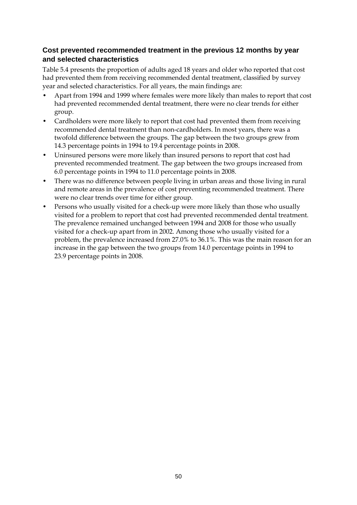## **Cost prevented recommended treatment in the previous 12 months by year and selected characteristics**

[Table 5.4](#page-56-0) presents the proportion of adults aged 18 years and older who reported that cost had prevented them from receiving recommended dental treatment, classified by survey year and selected characteristics. For all years, the main findings are:

- Apart from 1994 and 1999 where females were more likely than males to report that cost had prevented recommended dental treatment, there were no clear trends for either group.
- Cardholders were more likely to report that cost had prevented them from receiving recommended dental treatment than non-cardholders. In most years, there was a twofold difference between the groups. The gap between the two groups grew from 14.3 percentage points in 1994 to 19.4 percentage points in 2008.
- Uninsured persons were more likely than insured persons to report that cost had prevented recommended treatment. The gap between the two groups increased from 6.0 percentage points in 1994 to 11.0 percentage points in 2008.
- There was no difference between people living in urban areas and those living in rural and remote areas in the prevalence of cost preventing recommended treatment. There were no clear trends over time for either group.
- Persons who usually visited for a check-up were more likely than those who usually visited for a problem to report that cost had prevented recommended dental treatment. The prevalence remained unchanged between 1994 and 2008 for those who usually visited for a check-up apart from in 2002. Among those who usually visited for a problem, the prevalence increased from 27.0% to 36.1%. This was the main reason for an increase in the gap between the two groups from 14.0 percentage points in 1994 to 23.9 percentage points in 2008.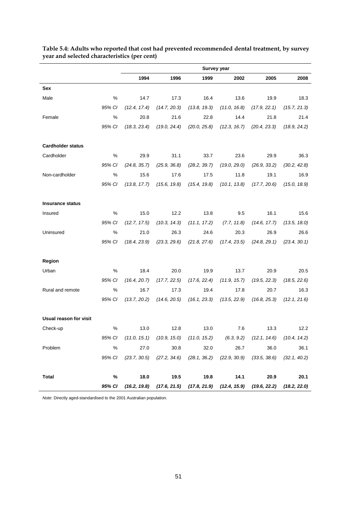|                          |        | Survey year         |              |                                              |              |                                                                                           |              |
|--------------------------|--------|---------------------|--------------|----------------------------------------------|--------------|-------------------------------------------------------------------------------------------|--------------|
|                          |        | 1994                | 1996         | 1999                                         | 2002         | 2005                                                                                      | 2008         |
| Sex                      |        |                     |              |                                              |              |                                                                                           |              |
| Male                     | %      | 14.7                | 17.3         | 16.4                                         | 13.6         | 19.9                                                                                      | 18.3         |
|                          | 95% CI | (12.4, 17.4)        | (14.7, 20.3) | (13.8, 19.3)                                 | (11.0, 16.8) | (17.9, 22.1)                                                                              | (15.7, 21.3) |
| Female                   | %      | 20.8                | 21.6         | 22.8                                         | 14.4         | 21.8                                                                                      | 21.4         |
|                          | 95% CI | (18.3, 23.4)        | (19.0, 24.4) | (20.0, 25.8)                                 | (12.3, 16.7) | (20.4, 23.3)                                                                              | (18.9, 24.2) |
| <b>Cardholder status</b> |        |                     |              |                                              |              |                                                                                           |              |
| Cardholder               | %      | 29.9                | 31.1         | 33.7                                         | 23.6         | 29.9                                                                                      | 36.3         |
|                          | 95% CI | (24.8, 35.7)        | (25.9, 36.8) | (28.2, 39.7)                                 | (19.0, 29.0) | (26.9, 33.2)                                                                              | (30.2, 42.8) |
| Non-cardholder           | %      | 15.6                | 17.6         | 17.5                                         | 11.8         | 19.1                                                                                      | 16.9         |
|                          | 95% CI | (13.8, 17.7)        | (15.6, 19.8) | (15.4, 19.8)                                 | (10.1, 13.8) | (17.7, 20.6)                                                                              | (15.0, 18.9) |
| <b>Insurance status</b>  |        |                     |              |                                              |              |                                                                                           |              |
| Insured                  | %      | 15.0                | 12.2         | 13.8                                         | 9.5          | 16.1                                                                                      | 15.6         |
|                          | 95% CI | (12.7, 17.5)        | (10.3, 14.3) | (11.1, 17.2)                                 | (7.7, 11.8)  | (14.6, 17.7)                                                                              | (13.5, 18.0) |
| Uninsured                | %      | 21.0                | 26.3         | 24.6                                         | 20.3         | 26.9                                                                                      | 26.6         |
|                          | 95% CI | (18.4, 23.9)        | (23.3, 29.6) | (21.8, 27.6)                                 | (17.4, 23.5) | (24.8, 29.1)                                                                              | (23.4, 30.1) |
| Region                   |        |                     |              |                                              |              |                                                                                           |              |
| Urban                    | %      | 18.4                | 20.0         | 19.9                                         | 13.7         | 20.9                                                                                      | 20.5         |
|                          | 95% CI | (16.4, 20.7)        | (17.7, 22.5) | (17.6, 22.4)                                 | (11.9, 15.7) | (19.5, 22.3)                                                                              | (18.5, 22.6) |
| Rural and remote         | $\%$   | 16.7                | 17.3         | 19.4                                         | 17.8         | 20.7                                                                                      | 16.3         |
|                          | 95% CI | (13.7, 20.2)        | (14.6, 20.5) | (16.1, 23.3)                                 | (13.5, 22.9) | (16.8, 25.3)                                                                              | (12.1, 21.6) |
| Usual reason for visit   |        |                     |              |                                              |              |                                                                                           |              |
| Check-up                 | %      | 13.0                | 12.8         | 13.0                                         | 7.6          | 13.3                                                                                      | 12.2         |
|                          |        | 95% CI (11.0, 15.1) |              | $(10.9, 15.0)$ $(11.0, 15.2)$ $(6.3, 9.2)$   |              | $(12.1, 14.6)$ $(10.4, 14.2)$                                                             |              |
| Problem                  | %      | 27.0                | 30.8         | 32.0                                         | 26.7         | 36.0                                                                                      | 36.1         |
|                          | 95% CI | (23.7, 30.5)        |              | $(27.2, 34.6)$ $(28.1, 36.2)$ $(22.9, 30.9)$ |              | $(33.5, 38.6)$ $(32.1, 40.2)$                                                             |              |
| <b>Total</b>             | %      | 18.0                | 19.5         | 19.8                                         | 14.1         | 20.9                                                                                      | 20.1         |
|                          | 95% CI |                     |              |                                              |              | $(16.2, 19.8)$ $(17.6, 21.5)$ $(17.8, 21.9)$ $(12.4, 15.9)$ $(19.6, 22.2)$ $(18.2, 22.0)$ |              |

<span id="page-56-0"></span>**Table 5.4: Adults who reported that cost had prevented recommended dental treatment, by survey year and selected characteristics (per cent)**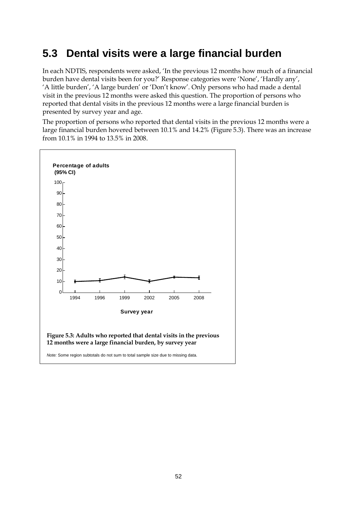# <span id="page-57-0"></span>**5.3 Dental visits were a large financial burden**

In each NDTIS, respondents were asked, 'In the previous 12 months how much of a financial burden have dental visits been for you?' Response categories were 'None', 'Hardly any', 'A little burden', 'A large burden' or 'Don't know'. Only persons who had made a dental visit in the previous 12 months were asked this question. The proportion of persons who reported that dental visits in the previous 12 months were a large financial burden is presented by survey year and age.

The proportion of persons who reported that dental visits in the previous 12 months were a large financial burden hovered between 10.1% and 14.2% [\(Figure 5.3\)](#page-57-1). There was an increase from 10.1% in 1994 to 13.5% in 2008.

<span id="page-57-1"></span>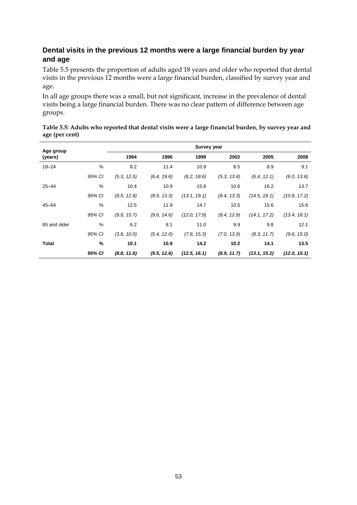## **Dental visits in the previous 12 months were a large financial burden by year and age**

[Table 5.5](#page-58-0) presents the proportion of adults aged 18 years and older who reported that dental visits in the previous 12 months were a large financial burden, classified by survey year and age.

In all age groups there was a small, but not significant, increase in the prevalence of dental visits being a large financial burden. There was no clear pattern of difference between age groups.

| Age group    |        |             |             | <b>Survey year</b> |             |              |              |
|--------------|--------|-------------|-------------|--------------------|-------------|--------------|--------------|
| (years)      |        | 1994        | 1996        | 1999               | 2002        | 2005         | 2008         |
| $18 - 24$    | %      | 8.2         | 11.4        | 10.9               | 8.5         | 8.9          | 9.1          |
|              | 95% CI | (5.3, 12.5) | (6.4, 19.6) | (6.2, 18.6)        | (5.3, 13.4) | (6.4, 12.1)  | (6.0, 13.6)  |
| $25 - 44$    | %      | 10.4        | 10.9        | 15.8               | 10.6        | 16.2         | 13.7         |
|              | 95% CI | (8.5, 12.8) | (8.9, 13.3) | (13.1, 19.1)       | (8.4, 13.3) | (14.5, 18.1) | (10.8, 17.2) |
| $45 - 64$    | %      | 12.5        | 11.9        | 14.7               | 10.5        | 15.6         | 15.6         |
|              | 95% CI | (9.9, 15.7) | (9.6, 14.6) | (12.0, 17.9)       | (8.4, 12.9) | (14.1, 17.2) | (13.4, 18.1) |
| 65 and older | %      | 6.2         | 8.1         | 11.0               | 9.9         | 9.8          | 12.1         |
|              | 95% CI | (3.8, 10.0) | (5.4, 12.0) | (7.8, 15.3)        | (7.0, 13.9) | (8.3, 11.7)  | (9.6, 15.0)  |
| Total        | %      | 10.1        | 10.9        | 14.2               | 10.2        | 14.1         | 13.5         |
|              | 95% CI | (8.8, 11.6) | (9.5, 12.6) | (12.5, 16.1)       | (8.9, 11.7) | (13.1, 15.2) | (12.0, 15.1) |

<span id="page-58-0"></span>

| Table 5.5: Adults who reported that dental visits were a large financial burden, by survey year and |  |
|-----------------------------------------------------------------------------------------------------|--|
| age (per cent)                                                                                      |  |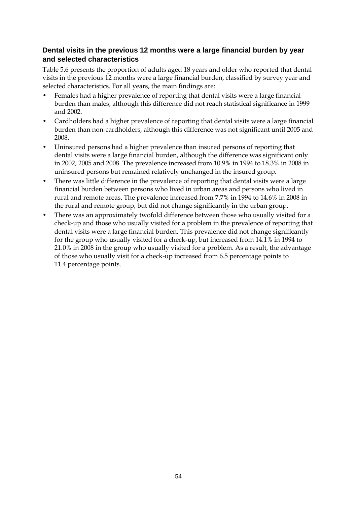## **Dental visits in the previous 12 months were a large financial burden by year and selected characteristics**

[Table 5.6](#page-60-0) presents the proportion of adults aged 18 years and older who reported that dental visits in the previous 12 months were a large financial burden, classified by survey year and selected characteristics. For all years, the main findings are:

- Females had a higher prevalence of reporting that dental visits were a large financial burden than males, although this difference did not reach statistical significance in 1999 and 2002.
- Cardholders had a higher prevalence of reporting that dental visits were a large financial burden than non-cardholders, although this difference was not significant until 2005 and 2008.
- Uninsured persons had a higher prevalence than insured persons of reporting that dental visits were a large financial burden, although the difference was significant only in 2002, 2005 and 2008. The prevalence increased from 10.9% in 1994 to 18.3% in 2008 in uninsured persons but remained relatively unchanged in the insured group.
- There was little difference in the prevalence of reporting that dental visits were a large financial burden between persons who lived in urban areas and persons who lived in rural and remote areas. The prevalence increased from 7.7% in 1994 to 14.6% in 2008 in the rural and remote group, but did not change significantly in the urban group.
- There was an approximately twofold difference between those who usually visited for a check-up and those who usually visited for a problem in the prevalence of reporting that dental visits were a large financial burden. This prevalence did not change significantly for the group who usually visited for a check-up, but increased from 14.1% in 1994 to 21.0% in 2008 in the group who usually visited for a problem. As a result, the advantage of those who usually visit for a check-up increased from 6.5 percentage points to 11.4 percentage points.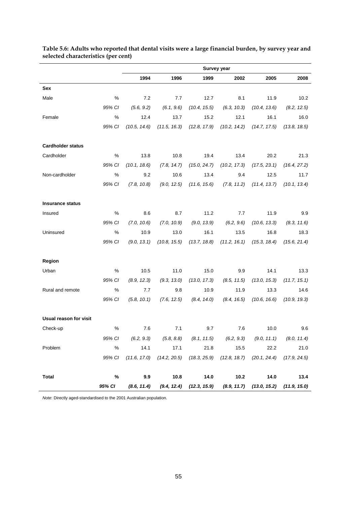|                          |        |              |              | Survey year  |                               |                                                                                           |              |
|--------------------------|--------|--------------|--------------|--------------|-------------------------------|-------------------------------------------------------------------------------------------|--------------|
|                          |        | 1994         | 1996         | 1999         | 2002                          | 2005                                                                                      | 2008         |
| Sex                      |        |              |              |              |                               |                                                                                           |              |
| Male                     | %      | 7.2          | 7.7          | 12.7         | 8.1                           | 11.9                                                                                      | 10.2         |
|                          | 95% CI | (5.6, 9.2)   | (6.1, 9.6)   | (10.4, 15.5) | (6.3, 10.3)                   | (10.4, 13.6)                                                                              | (8.2, 12.5)  |
| Female                   | %      | 12.4         | 13.7         | 15.2         | 12.1                          | 16.1                                                                                      | 16.0         |
|                          | 95% CI | (10.5, 14.6) | (11.5, 16.3) | (12.8, 17.9) | (10.2, 14.2)                  | (14.7, 17.5)                                                                              | (13.8, 18.5) |
| <b>Cardholder status</b> |        |              |              |              |                               |                                                                                           |              |
| Cardholder               | %      | 13.8         | 10.8         | 19.4         | 13.4                          | 20.2                                                                                      | 21.3         |
|                          | 95% CI | (10.1, 18.6) | (7.8, 14.7)  | (15.0, 24.7) | (10.2, 17.3)                  | (17.5, 23.1)                                                                              | (16.4, 27.2) |
| Non-cardholder           | $\%$   | 9.2          | 10.6         | 13.4         | 9.4                           | 12.5                                                                                      | 11.7         |
|                          | 95% CI | (7.8, 10.8)  | (9.0, 12.5)  | (11.6, 15.6) | (7.8, 11.2)                   | (11.4, 13.7)                                                                              | (10.1, 13.4) |
| <b>Insurance status</b>  |        |              |              |              |                               |                                                                                           |              |
| Insured                  | %      | 8.6          | 8.7          | 11.2         | 7.7                           | 11.9                                                                                      | 9.9          |
|                          | 95% CI | (7.0, 10.6)  | (7.0, 10.9)  | (9.0, 13.9)  | (6.2, 9.6)                    | (10.6, 13.3)                                                                              | (8.3, 11.6)  |
| Uninsured                | $\%$   | 10.9         | 13.0         | 16.1         | 13.5                          | 16.8                                                                                      | 18.3         |
|                          | 95% CI | (9.0, 13.1)  | (10.8, 15.5) |              | $(13.7, 18.8)$ $(11.2, 16.1)$ | (15.3, 18.4)                                                                              | (15.6, 21.4) |
| Region                   |        |              |              |              |                               |                                                                                           |              |
| Urban                    | %      | 10.5         | 11.0         | 15.0         | 9.9                           | 14.1                                                                                      | 13.3         |
|                          | 95% CI | (8.9, 12.3)  | (9.3, 13.0)  | (13.0, 17.3) | (8.5, 11.5)                   | (13.0, 15.3)                                                                              | (11.7, 15.1) |
| Rural and remote         | $\%$   | 7.7          | 9.8          | 10.9         | 11.9                          | 13.3                                                                                      | 14.6         |
|                          | 95% CI | (5.8, 10.1)  | (7.6, 12.5)  | (8.4, 14.0)  | (8.4, 16.5)                   | (10.6, 16.6)                                                                              | (10.9, 19.3) |
| Usual reason for visit   |        |              |              |              |                               |                                                                                           |              |
| Check-up                 | %      | 7.6          | 7.1          | 9.7          | 7.6                           | 10.0                                                                                      | 9.6          |
|                          |        |              |              |              |                               | 95% Cl (6.2, 9.3) (5.8, 8.8) (8.1, 11.5) (6.2, 9.3) (9.0, 11.1) (8.0, 11.4)               |              |
| Problem                  | %      | 14.1         | 17.1         | 21.8         | 15.5                          | 22.2                                                                                      | 21.0         |
|                          | 95% CI |              |              |              |                               | $(11.6, 17.0)$ $(14.2, 20.5)$ $(18.3, 25.9)$ $(12.8, 18.7)$ $(20.1, 24.4)$ $(17.9, 24.5)$ |              |
| <b>Total</b>             | $\%$   | 9.9          | 10.8         | 14.0         | $10.2$                        | 14.0                                                                                      | 13.4         |
|                          | 95% CI |              |              |              |                               | $(8.6, 11.4)$ $(9.4, 12.4)$ $(12.3, 15.9)$ $(8.9, 11.7)$ $(13.0, 15.2)$ $(11.9, 15.0)$    |              |

<span id="page-60-0"></span>**Table 5.6: Adults who reported that dental visits were a large financial burden, by survey year and selected characteristics (per cent)**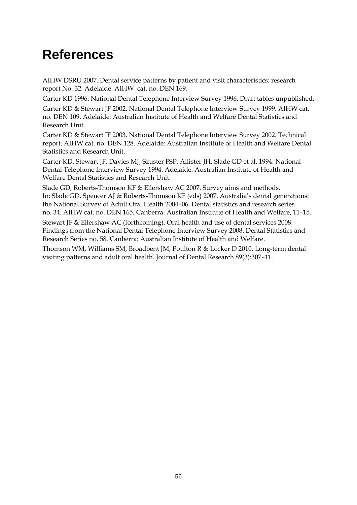# <span id="page-61-0"></span>**References**

AIHW DSRU 2007. Dental service patterns by patient and visit characteristics: research report No. 32. Adelaide: AIHW cat. no. DEN 169.

Carter KD 1996. National Dental Telephone Interview Survey 1996. Draft tables unpublished.

Carter KD & Stewart JF 2002. National Dental Telephone Interview Survey 1999. AIHW cat. no. DEN 109. Adelaide: Australian Institute of Health and Welfare Dental Statistics and Research Unit.

Carter KD & Stewart JF 2003. National Dental Telephone Interview Survey 2002. Technical report. AIHW cat. no. DEN 128. Adelaide: Australian Institute of Health and Welfare Dental Statistics and Research Unit.

Carter KD, Stewart JF, Davies MJ, Szuster FSP, Allister JH, Slade GD et al. 1994. National Dental Telephone Interview Survey 1994. Adelaide: Australian Institute of Health and Welfare Dental Statistics and Research Unit.

Slade GD, Roberts-Thomson KF & Ellershaw AC 2007. Survey aims and methods. In: Slade GD, Spencer AJ & Roberts-Thomson KF (eds) 2007. Australia's dental generations: the National Survey of Adult Oral Health 2004–06. Dental statistics and research series no. 34. AIHW cat. no. DEN 165. Canberra: Australian Institute of Health and Welfare, 11–15.

Stewart JF & Ellershaw AC (forthcoming). Oral health and use of dental services 2008: Findings from the National Dental Telephone Interview Survey 2008. Dental Statistics and Research Series no. 58. Canberra: Australian Institute of Health and Welfare.

Thomson WM, Williams SM, Broadbent JM, Poulton R & Locker D 2010. Long-term dental visiting patterns and adult oral health. Journal of Dental Research 89(3):307–11.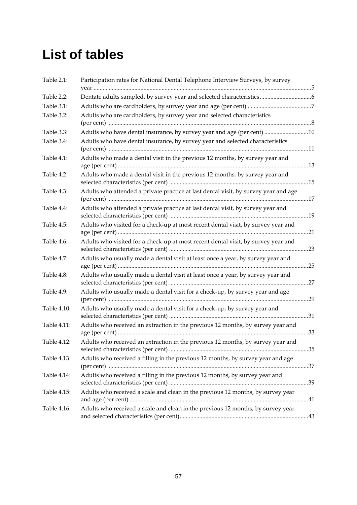# <span id="page-62-0"></span>**List of tables**

| Table 2.1:  | Participation rates for National Dental Telephone Interview Surveys, by survey      |  |
|-------------|-------------------------------------------------------------------------------------|--|
|             |                                                                                     |  |
| Table 2.2:  |                                                                                     |  |
| Table 3.1:  |                                                                                     |  |
| Table 3.2:  | Adults who are cardholders, by survey year and selected characteristics             |  |
| Table 3.3:  | Adults who have dental insurance, by survey year and age (per cent) 10              |  |
| Table 3.4:  | Adults who have dental insurance, by survey year and selected characteristics       |  |
| Table 4.1:  | Adults who made a dental visit in the previous 12 months, by survey year and        |  |
| Table 4.2   | Adults who made a dental visit in the previous 12 months, by survey year and        |  |
| Table 4.3:  | Adults who attended a private practice at last dental visit, by survey year and age |  |
| Table 4.4:  | Adults who attended a private practice at last dental visit, by survey year and     |  |
| Table 4.5:  | Adults who visited for a check-up at most recent dental visit, by survey year and   |  |
| Table 4.6:  | Adults who visited for a check-up at most recent dental visit, by survey year and   |  |
| Table 4.7:  | Adults who usually made a dental visit at least once a year, by survey year and     |  |
| Table 4.8:  | Adults who usually made a dental visit at least once a year, by survey year and     |  |
| Table 4.9:  | Adults who usually made a dental visit for a check-up, by survey year and age       |  |
| Table 4.10: | Adults who usually made a dental visit for a check-up, by survey year and           |  |
| Table 4.11: | Adults who received an extraction in the previous 12 months, by survey year and     |  |
| Table 4.12: | Adults who received an extraction in the previous 12 months, by survey year and     |  |
| Table 4.13: | Adults who received a filling in the previous 12 months, by survey year and age     |  |
| Table 4.14: | Adults who received a filling in the previous 12 months, by survey year and         |  |
| Table 4.15: | Adults who received a scale and clean in the previous 12 months, by survey year     |  |
| Table 4.16: | Adults who received a scale and clean in the previous 12 months, by survey year     |  |